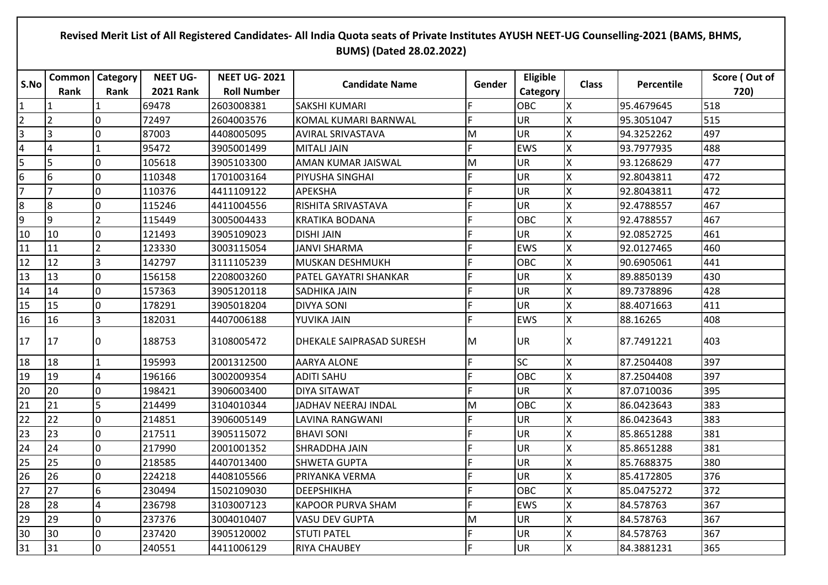## **Revised Merit List of All Registered Candidates- All India Quota seats of Private Institutes AYUSH NEET-UG Counselling-2021 (BAMS, BHMS, BUMS) (Dated 28.02.2022)**

| S.No                    | <b>Common</b>  | <b>Category</b> | <b>NEET UG-</b>  | <b>NEET UG-2021</b> | <b>Candidate Name</b>           | Gender | Eligible   | <b>Class</b> | Percentile | Score (Out of |
|-------------------------|----------------|-----------------|------------------|---------------------|---------------------------------|--------|------------|--------------|------------|---------------|
|                         | Rank           | Rank            | <b>2021 Rank</b> | <b>Roll Number</b>  |                                 |        | Category   |              |            | 720)          |
| $\mathbf{1}$            |                |                 | 69478            | 2603008381          | <b>SAKSHI KUMARI</b>            | F      | <b>OBC</b> | X            | 95.4679645 | 518           |
| $\overline{2}$          | $\overline{2}$ | $\Omega$        | 72497            | 2604003576          | KOMAL KUMARI BARNWAL            | F      | UR         | X            | 95.3051047 | 515           |
| $\overline{\mathbf{3}}$ | l3             | 0               | 87003            | 4408005095          | <b>AVIRAL SRIVASTAVA</b>        | M      | <b>UR</b>  | Χ            | 94.3252262 | 497           |
| $\overline{a}$          | $\overline{4}$ |                 | 95472            | 3905001499          | <b>MITALI JAIN</b>              | F      | <b>EWS</b> | X            | 93.7977935 | 488           |
| 5                       | 5              | 0               | 105618           | 3905103300          | AMAN KUMAR JAISWAL              | M      | UR         | X            | 93.1268629 | 477           |
| 6                       | 6              | 0               | 110348           | 1701003164          | PIYUSHA SINGHAI                 | F.     | <b>UR</b>  | X            | 92.8043811 | 472           |
| $\overline{7}$          | $\overline{7}$ | 0               | 110376           | 4411109122          | <b>APEKSHA</b>                  | F      | <b>UR</b>  | X            | 92.8043811 | 472           |
| $\boldsymbol{8}$        | 8              | 0               | 115246           | 4411004556          | RISHITA SRIVASTAVA              | F      | <b>UR</b>  | X            | 92.4788557 | 467           |
| 9                       | l9             | $\overline{2}$  | 115449           | 3005004433          | <b>KRATIKA BODANA</b>           | F      | <b>OBC</b> | Χ            | 92.4788557 | 467           |
| 10                      | 10             | 0               | 121493           | 3905109023          | <b>DISHI JAIN</b>               | F      | UR         | X            | 92.0852725 | 461           |
| 11                      | 11             | $\overline{2}$  | 123330           | 3003115054          | JANVI SHARMA                    | F      | <b>EWS</b> | X            | 92.0127465 | 460           |
| 12                      | 12             | 3               | 142797           | 3111105239          | MUSKAN DESHMUKH                 | F      | OBC        | X            | 90.6905061 | 441           |
| 13                      | 13             | l0              | 156158           | 2208003260          | PATEL GAYATRI SHANKAR           | F      | UR         | X            | 89.8850139 | 430           |
| 14                      | 14             | l0              | 157363           | 3905120118          | SADHIKA JAIN                    | F      | <b>UR</b>  | Χ            | 89.7378896 | 428           |
| 15                      | 15             | l0              | 178291           | 3905018204          | <b>DIVYA SONI</b>               | F      | <b>UR</b>  | X            | 88.4071663 | 411           |
| 16                      | 16             | 3               | 182031           | 4407006188          | YUVIKA JAIN                     | F.     | <b>EWS</b> | X            | 88.16265   | 408           |
| 17                      | 17             | 0               | 188753           | 3108005472          | <b>DHEKALE SAIPRASAD SURESH</b> | M      | IUR.       | X            | 87.7491221 | 403           |
| 18                      | 18             |                 | 195993           | 2001312500          | <b>AARYA ALONE</b>              | F.     | <b>SC</b>  | X            | 87.2504408 | 397           |
| 19                      | 19             | $\overline{4}$  | 196166           | 3002009354          | <b>ADITI SAHU</b>               | F.     | <b>OBC</b> | Χ            | 87.2504408 | 397           |
| 20                      | 20             | 0               | 198421           | 3906003400          | <b>DIYA SITAWAT</b>             | F      | <b>UR</b>  | X            | 87.0710036 | 395           |
| 21                      | 21             | 5               | 214499           | 3104010344          | JADHAV NEERAJ INDAL             | M      | OBC        | X            | 86.0423643 | 383           |
| 22                      | 22             | 0               | 214851           | 3906005149          | LAVINA RANGWANI                 | F      | <b>UR</b>  | X            | 86.0423643 | 383           |
| 23                      | 23             | 0               | 217511           | 3905115072          | <b>BHAVI SONI</b>               | F.     | <b>UR</b>  | X            | 85.8651288 | 381           |
| 24                      | 24             | l0              | 217990           | 2001001352          | SHRADDHA JAIN                   | F      | <b>UR</b>  | X            | 85.8651288 | 381           |
| 25                      | 25             | 0               | 218585           | 4407013400          | SHWETA GUPTA                    | F      | UR         | X            | 85.7688375 | 380           |
| 26                      | 26             | 0               | 224218           | 4408105566          | PRIYANKA VERMA                  | F      | <b>UR</b>  | X            | 85.4172805 | 376           |
| 27                      | 27             | 6               | 230494           | 1502109030          | <b>DEEPSHIKHA</b>               | F      | OBC        | X            | 85.0475272 | 372           |
| 28                      | 28             | $\overline{4}$  | 236798           | 3103007123          | <b>KAPOOR PURVA SHAM</b>        | F.     | <b>EWS</b> | X            | 84.578763  | 367           |
| 29                      | 29             | 0               | 237376           | 3004010407          | <b>VASU DEV GUPTA</b>           | M      | <b>UR</b>  | X            | 84.578763  | 367           |
| 30                      | 30             | 0               | 237420           | 3905120002          | <b>STUTI PATEL</b>              | F      | <b>UR</b>  | Χ            | 84.578763  | 367           |
| 31                      | 31             | l0              | 240551           | 4411006129          | <b>RIYA CHAUBEY</b>             | F      | <b>UR</b>  | X            | 84.3881231 | 365           |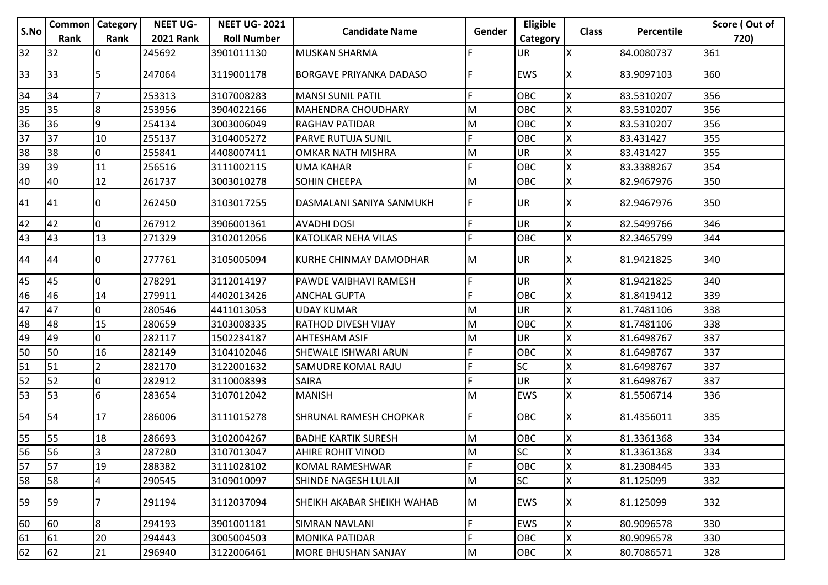|                 | <b>Common   Category</b> |                | <b>NEET UG-</b>  | <b>NEET UG-2021</b> |                                |        | Eligible   |              |            | Score (Out of |
|-----------------|--------------------------|----------------|------------------|---------------------|--------------------------------|--------|------------|--------------|------------|---------------|
| S.No            | Rank                     | Rank           | <b>2021 Rank</b> | <b>Roll Number</b>  | <b>Candidate Name</b>          | Gender | Category   | <b>Class</b> | Percentile | 720)          |
| 32              | 32                       | 0              | 245692           | 3901011130          | <b>MUSKAN SHARMA</b>           | F      | UR         |              | 84.0080737 | 361           |
| 33              | 33                       |                | 247064           | 3119001178          | <b>BORGAVE PRIYANKA DADASO</b> | F      | <b>EWS</b> |              | 83.9097103 | 360           |
| 34              | 34                       |                | 253313           | 3107008283          | <b>MANSI SUNIL PATIL</b>       | F      | OBC        |              | 83.5310207 | 356           |
| 35              | 35                       | 8              | 253956           | 3904022166          | <b>MAHENDRA CHOUDHARY</b>      | M      | <b>OBC</b> | X            | 83.5310207 | 356           |
| 36              | 36                       | 9              | 254134           | 3003006049          | <b>RAGHAV PATIDAR</b>          | Μ      | <b>OBC</b> | Х            | 83.5310207 | 356           |
| 37              | 37                       | 10             | 255137           | 3104005272          | PARVE RUTUJA SUNIL             | F      | OBC        | Χ            | 83.431427  | 355           |
| $\frac{1}{38}$  | 38                       | 0              | 255841           | 4408007411          | <b>OMKAR NATH MISHRA</b>       | M      | <b>UR</b>  | Х            | 83.431427  | 355           |
|                 | 39                       | 11             | 256516           | 3111002115          | <b>UMA KAHAR</b>               | F      | <b>OBC</b> | X            | 83.3388267 | 354           |
| 40              | 40                       | 12             | 261737           | 3003010278          | SOHIN CHEEPA                   | M      | <b>OBC</b> | X            | 82.9467976 | 350           |
| 41              | 41                       | 10             | 262450           | 3103017255          | DASMALANI SANIYA SANMUKH       | F      | <b>UR</b>  | ΙX           | 82.9467976 | 350           |
| 42              | 42                       | l0             | 267912           | 3906001361          | <b>AVADHI DOSI</b>             | F      | <b>UR</b>  | X            | 82.5499766 | 346           |
| 43              | 43                       | 13             | 271329           | 3102012056          | <b>KATOLKAR NEHA VILAS</b>     | F.     | OBC        |              | 82.3465799 | 344           |
| 44              | 44                       | 10             | 277761           | 3105005094          | KURHE CHINMAY DAMODHAR         | M      | <b>UR</b>  |              | 81.9421825 | 340           |
| 45              | 45                       | $\overline{0}$ | 278291           | 3112014197          | PAWDE VAIBHAVI RAMESH          | F      | <b>UR</b>  | X            | 81.9421825 | 340           |
| 46              | 46                       | 14             | 279911           | 4402013426          | <b>ANCHAL GUPTA</b>            | F.     | <b>OBC</b> | X            | 81.8419412 | 339           |
| 47              | 47                       | 0              | 280546           | 4411013053          | <b>UDAY KUMAR</b>              | Μ      | <b>UR</b>  | Х            | 81.7481106 | 338           |
| 48              | 48                       | 15             | 280659           | 3103008335          | <b>RATHOD DIVESH VIJAY</b>     | M      | <b>OBC</b> |              | 81.7481106 | 338           |
| 49              | 49                       | 0              | 282117           | 1502234187          | <b>AHTESHAM ASIF</b>           | M      | <b>UR</b>  |              | 81.6498767 | 337           |
| 50              | 50                       | 16             | 282149           | 3104102046          | SHEWALE ISHWARI ARUN           | F      | OBC        | х            | 81.6498767 | 337           |
| $\overline{51}$ | 51                       |                | 282170           | 3122001632          | SAMUDRE KOMAL RAJU             | F      | <b>SC</b>  |              | 81.6498767 | 337           |
| $\overline{52}$ | 52                       | 0              | 282912           | 3110008393          | <b>SAIRA</b>                   | F.     | <b>UR</b>  | Χ            | 81.6498767 | 337           |
| 53              | 53                       | 6              | 283654           | 3107012042          | <b>MANISH</b>                  | Μ      | <b>EWS</b> | x            | 81.5506714 | 336           |
| 54              | 54                       | 17             | 286006           | 3111015278          | <b>SHRUNAL RAMESH CHOPKAR</b>  | F      | <b>OBC</b> | х            | 81.4356011 | 335           |
| 55              | 55                       | 18             | 286693           | 3102004267          | <b>BADHE KARTIK SURESH</b>     | M      | OBC        |              | 81.3361368 | 334           |
| 56              | 56                       | 3              | 287280           | 3107013047          | <b>AHIRE ROHIT VINOD</b>       | M      | <b>SC</b>  | ΙX           | 81.3361368 | 334           |
| $\overline{57}$ | 57                       | 19             | 288382           | 3111028102          | KOMAL RAMESHWAR                | F.     | <b>OBC</b> | X            | 81.2308445 | 333           |
| 58              | 58                       | 4              | 290545           | 3109010097          | SHINDE NAGESH LULAJI           | M      | <b>SC</b>  | X            | 81.125099  | 332           |
| 59              | 59                       |                | 291194           | 3112037094          | SHEIKH AKABAR SHEIKH WAHAB     | M      | <b>EWS</b> |              | 81.125099  | 332           |
| 60              | 60                       | 8              | 294193           | 3901001181          | SIMRAN NAVLANI                 | F      | <b>EWS</b> | Χ            | 80.9096578 | 330           |
| $\overline{61}$ | 61                       | 20             | 294443           | 3005004503          | <b>MONIKA PATIDAR</b>          | F      | OBC        | Χ            | 80.9096578 | 330           |
| 62              | 62                       | 21             | 296940           | 3122006461          | <b>MORE BHUSHAN SANJAY</b>     | M      | OBC        | X            | 80.7086571 | 328           |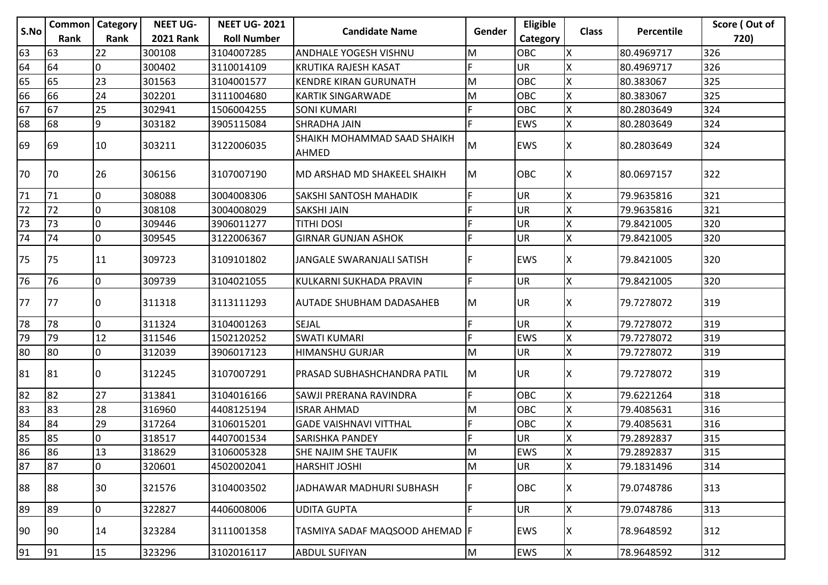|      | <b>Common   Category</b> |                | <b>NEET UG-</b>  | <b>NEET UG-2021</b> |                                      |        | Eligible   |              |            | Score (Out of |
|------|--------------------------|----------------|------------------|---------------------|--------------------------------------|--------|------------|--------------|------------|---------------|
| S.No | <b>Rank</b>              | Rank           | <b>2021 Rank</b> | <b>Roll Number</b>  | <b>Candidate Name</b>                | Gender | Category   | <b>Class</b> | Percentile | 720)          |
| 63   | 63                       | 22             | 300108           | 3104007285          | ANDHALE YOGESH VISHNU                | M      | OBC        | ΙX           | 80.4969717 | 326           |
| 64   | 64                       |                | 300402           | 3110014109          | <b>KRUTIKA RAJESH KASAT</b>          | F      | <b>UR</b>  |              | 80.4969717 | 326           |
| 65   | 65                       | 23             | 301563           | 3104001577          | <b>KENDRE KIRAN GURUNATH</b>         | M      | OBC        | ΙX           | 80.383067  | 325           |
| 66   | 66                       | 24             | 302201           | 3111004680          | <b>KARTIK SINGARWADE</b>             | M      | OBC        |              | 80.383067  | 325           |
| 67   | 67                       | 25             | 302941           | 1506004255          | <b>SONI KUMARI</b>                   | F      | OBC        |              | 80.2803649 | 324           |
| 68   | 68                       | 9              | 303182           | 3905115084          | SHRADHA JAIN                         | F.     | <b>EWS</b> | X            | 80.2803649 | 324           |
| 69   | 169                      | 10             | 303211           | 3122006035          | SHAIKH MOHAMMAD SAAD SHAIKH<br>AHMED | M      | <b>EWS</b> | IΧ           | 80.2803649 | 324           |
| 70   | 170                      | 26             | 306156           | 3107007190          | MD ARSHAD MD SHAKEEL SHAIKH          | M      | <b>OBC</b> | ΙX           | 80.0697157 | 322           |
| 71   | 71                       | 0              | 308088           | 3004008306          | SAKSHI SANTOSH MAHADIK               | F      | <b>UR</b>  | X            | 79.9635816 | 321           |
| 72   | 72                       | $\mathbf 0$    | 308108           | 3004008029          | <b>SAKSHI JAIN</b>                   | E      | <b>UR</b>  | X            | 79.9635816 | 321           |
| 73   | 73                       | $\overline{0}$ | 309446           | 3906011277          | <b>TITHI DOSI</b>                    | F      | <b>UR</b>  |              | 79.8421005 | 320           |
| 74   | 74                       | $\mathbf 0$    | 309545           | 3122006367          | <b>GIRNAR GUNJAN ASHOK</b>           | F      | <b>UR</b>  | X            | 79.8421005 | 320           |
| 75   | 175                      | 11             | 309723           | 3109101802          | JANGALE SWARANJALI SATISH            | F      | <b>EWS</b> | ΙX           | 79.8421005 | 320           |
| 76   | 76                       | 0              | 309739           | 3104021055          | KULKARNI SUKHADA PRAVIN              | F.     | <b>UR</b>  | X            | 79.8421005 | 320           |
| 77   | 177                      |                | 311318           | 3113111293          | <b>AUTADE SHUBHAM DADASAHEB</b>      | M      | <b>UR</b>  | ΙX           | 79.7278072 | 319           |
| 78   | 78                       | 0              | 311324           | 3104001263          | SEJAL                                | F      | <b>UR</b>  |              | 79.7278072 | 319           |
| 79   | 79                       | 12             | 311546           | 1502120252          | <b>SWATI KUMARI</b>                  | F      | <b>EWS</b> |              | 79.7278072 | 319           |
| 80   | 80                       | 0              | 312039           | 3906017123          | <b>HIMANSHU GURJAR</b>               | M      | <b>UR</b>  | X            | 79.7278072 | 319           |
| 81   | 81                       | 0              | 312245           | 3107007291          | IPRASAD SUBHASHCHANDRA PATIL         | M      | <b>UR</b>  | ΙX           | 79.7278072 | 319           |
| 82   | 82                       | 27             | 313841           | 3104016166          | SAWJI PRERANA RAVINDRA               | F.     | <b>OBC</b> | X            | 79.6221264 | 318           |
| 83   | 83                       | 28             | 316960           | 4408125194          | <b>ISRAR AHMAD</b>                   | M      | <b>OBC</b> | X            | 79.4085631 | 316           |
| 84   | 84                       | 29             | 317264           | 3106015201          | <b>GADE VAISHNAVI VITTHAL</b>        | F      | OBC        | ΙX           | 79.4085631 | 316           |
| 85   | 85                       |                | 318517           | 4407001534          | <b>SARISHKA PANDEY</b>               | F      | UR         |              | 79.2892837 | 315           |
| 86   | 186                      | 13             | 318629           | 3106005328          | <b>SHE NAJIM SHE TAUFIK</b>          | M      | <b>EWS</b> | Ιx           | 79.2892837 | 315           |
| 87   | 87                       | $\mathbf 0$    | 320601           | 4502002041          | <b>HARSHIT JOSHI</b>                 | M      | UR         | ΙX           | 79.1831496 | 314           |
| 88   | 88                       | 30             | 321576           | 3104003502          | JADHAWAR MADHURI SUBHASH             | F.     | <b>OBC</b> | ΙX           | 79.0748786 | 313           |
| 89   | 89                       | 0              | 322827           | 4406008006          | <b>UDITA GUPTA</b>                   | F.     | <b>UR</b>  | X            | 79.0748786 | 313           |
| 90   | 90                       | 14             | 323284           | 3111001358          | TASMIYA SADAF MAQSOOD AHEMAD   F     |        | <b>EWS</b> | ΙX.          | 78.9648592 | 312           |
| 91   | 91                       | 15             | 323296           | 3102016117          | <b>ABDUL SUFIYAN</b>                 | M      | <b>EWS</b> | <b>X</b>     | 78.9648592 | 312           |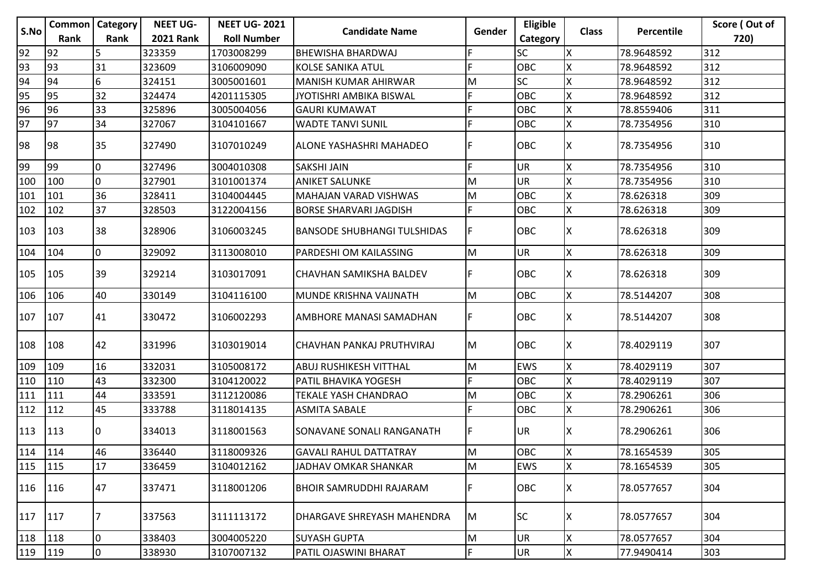|      | <b>Common   Category</b> |                | <b>NEET UG-</b>  | <b>NEET UG-2021</b> |                                    |           | Eligible   |              |            | Score (Out of |
|------|--------------------------|----------------|------------------|---------------------|------------------------------------|-----------|------------|--------------|------------|---------------|
| S.No | Rank                     | Rank           | <b>2021 Rank</b> | <b>Roll Number</b>  | <b>Candidate Name</b>              | Gender    | Category   | <b>Class</b> | Percentile | 720)          |
| 92   | 92                       | 5              | 323359           | 1703008299          | <b>BHEWISHA BHARDWAJ</b>           | F         | <b>SC</b>  | ΙX           | 78.9648592 | 312           |
| 93   | 93                       | 31             | 323609           | 3106009090          | <b>KOLSE SANIKA ATUL</b>           | E         | <b>OBC</b> |              | 78.9648592 | 312           |
| 94   | 94                       | 6              | 324151           | 3005001601          | <b>MANISH KUMAR AHIRWAR</b>        | M         | <b>SC</b>  | Χ            | 78.9648592 | 312           |
| 95   | 95                       | 32             | 324474           | 4201115305          | JYOTISHRI AMBIKA BISWAL            | F         | OBC        | X            | 78.9648592 | 312           |
| 96   | 96                       | 33             | 325896           | 3005004056          | <b>GAURI KUMAWAT</b>               | F         | OBC        | X            | 78.8559406 | 311           |
| 97   | 97                       | 34             | 327067           | 3104101667          | <b>WADTE TANVI SUNIL</b>           | F         | OBC        | X            | 78.7354956 | 310           |
| 98   | 98                       | 35             | 327490           | 3107010249          | <b>ALONE YASHASHRI MAHADEO</b>     | F         | OBC        | ΙX           | 78.7354956 | 310           |
| 99   | 99                       | $\overline{0}$ | 327496           | 3004010308          | <b>SAKSHI JAIN</b>                 | F         | UR         | X            | 78.7354956 | 310           |
| 100  | 100                      | 0              | 327901           | 3101001374          | <b>ANIKET SALUNKE</b>              | M         | UR         | X            | 78.7354956 | 310           |
| 101  | 101                      | 36             | 328411           | 3104004445          | MAHAJAN VARAD VISHWAS              | M         | OBC        | X            | 78.626318  | 309           |
| 102  | 102                      | 37             | 328503           | 3122004156          | <b>BORSE SHARVARI JAGDISH</b>      | F         | OBC        | X            | 78.626318  | 309           |
| 103  | 103                      | 38             | 328906           | 3106003245          | <b>BANSODE SHUBHANGI TULSHIDAS</b> | F         | OBC        | ΙX           | 78.626318  | 309           |
| 104  | 104                      | l0             | 329092           | 3113008010          | <b>PARDESHI OM KAILASSING</b>      | M         | <b>UR</b>  | Χ            | 78.626318  | 309           |
| 105  | 105                      | 39             | 329214           | 3103017091          | CHAVHAN SAMIKSHA BALDEV            | F         | OBC        | X            | 78.626318  | 309           |
| 106  | 106                      | 40             | 330149           | 3104116100          | MUNDE KRISHNA VAIJNATH             | M         | OBC        | X            | 78.5144207 | 308           |
| 107  | 107                      | 41             | 330472           | 3106002293          | AMBHORE MANASI SAMADHAN            | F         | OBC        | X            | 78.5144207 | 308           |
| 108  | 108                      | 42             | 331996           | 3103019014          | CHAVHAN PANKAJ PRUTHVIRAJ          | lм        | OBC        | X            | 78.4029119 | 307           |
| 109  | 109                      | 16             | 332031           | 3105008172          | ABUJ RUSHIKESH VITTHAL             | M         | <b>EWS</b> | X            | 78.4029119 | 307           |
| 110  | 110                      | 43             | 332300           | 3104120022          | PATIL BHAVIKA YOGESH               | F         | OBC        | X            | 78.4029119 | 307           |
| 111  | 111                      | 44             | 333591           | 3112120086          | <b>TEKALE YASH CHANDRAO</b>        | M         | OBC        | X            | 78.2906261 | 306           |
| 112  | 112                      | 45             | 333788           | 3118014135          | <b>ASMITA SABALE</b>               | F         | <b>OBC</b> | X            | 78.2906261 | 306           |
| 113  | 113                      | 10             | 334013           | 3118001563          | SONAVANE SONALI RANGANATH          | F         | UR         | ΙX           | 78.2906261 | 306           |
| 114  | 114                      | 46             | 336440           | 3118009326          | <b>GAVALI RAHUL DATTATRAY</b>      | lм        | OBC        | Iх           | 78.1654539 | 305           |
| 115  | 115                      | 17             | 336459           | 3104012162          | JADHAV OMKAR SHANKAR               | M         | EWS        | X            | 78.1654539 | 305           |
| 116  | 116                      | 47             | 337471           | 3118001206          | <b>BHOIR SAMRUDDHI RAJARAM</b>     | F         | OBC        | ΙX           | 78.0577657 | 304           |
| 117  | 117                      | 7              | 337563           | 3111113172          | DHARGAVE SHREYASH MAHENDRA         | Iм        | <b>SC</b>  | X            | 78.0577657 | 304           |
| 118  | 118                      | 0              | 338403           | 3004005220          | <b>SUYASH GUPTA</b>                | ${\sf M}$ | UR         | Χ            | 78.0577657 | 304           |
| 119  | 119                      | $ 0\rangle$    | 338930           | 3107007132          | PATIL OJASWINI BHARAT              | F         | UR         | X            | 77.9490414 | 303           |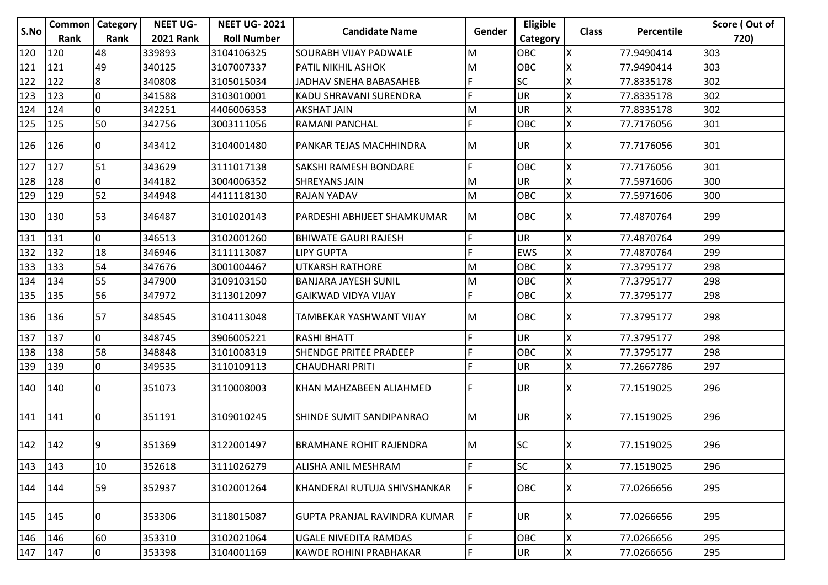|               | <b>Common   Category</b> |             | <b>NEET UG-</b>  | <b>NEET UG-2021</b> |                                     |        | Eligible   |              |                   | Score (Out of |
|---------------|--------------------------|-------------|------------------|---------------------|-------------------------------------|--------|------------|--------------|-------------------|---------------|
| S.No          | Rank                     | Rank        | <b>2021 Rank</b> | <b>Roll Number</b>  | <b>Candidate Name</b>               | Gender | Category   | <b>Class</b> | <b>Percentile</b> | 720)          |
| 120           | 120                      | 48          | 339893           | 3104106325          | SOURABH VIJAY PADWALE               | M      | OBC        | X            | 77.9490414        | 303           |
| 121           | 121                      | 49          | 340125           | 3107007337          | <b>PATIL NIKHIL ASHOK</b>           | M      | <b>OBC</b> | X            | 77.9490414        | 303           |
| 122           | 122                      | 8           | 340808           | 3105015034          | JADHAV SNEHA BABASAHEB              | F      | <b>SC</b>  | X            | 77.8335178        | 302           |
| 123           | 123                      | l0          | 341588           | 3103010001          | KADU SHRAVANI SURENDRA              | F      | <b>UR</b>  | X            | 77.8335178        | 302           |
| 124           | 124                      | l0          | 342251           | 4406006353          | <b>AKSHAT JAIN</b>                  | M      | UR         | X            | 77.8335178        | 302           |
| 125           | 125                      | 50          | 342756           | 3003111056          | <b>RAMANI PANCHAL</b>               | F      | <b>OBC</b> | X            | 77.7176056        | 301           |
| 126           | 126                      | 10          | 343412           | 3104001480          | PANKAR TEJAS MACHHINDRA             | M      | UR         | ΙX           | 77.7176056        | 301           |
| $\boxed{127}$ | 127                      | 51          | 343629           | 3111017138          | SAKSHI RAMESH BONDARE               | F      | <b>OBC</b> | X            | 77.7176056        | 301           |
| 128           | 128                      | 0           | 344182           | 3004006352          | <b>SHREYANS JAIN</b>                | M      | <b>UR</b>  | X            | 77.5971606        | 300           |
| 129           | 129                      | 52          | 344948           | 4411118130          | RAJAN YADAV                         | M      | OBC        | X            | 77.5971606        | 300           |
| 130           | 130                      | 53          | 346487           | 3101020143          | PARDESHI ABHIJEET SHAMKUMAR         | M      | <b>OBC</b> | ΙX           | 77.4870764        | 299           |
| 131           | 131                      | I٥          | 346513           | 3102001260          | <b>BHIWATE GAURI RAJESH</b>         | F      | <b>UR</b>  | X            | 77.4870764        | 299           |
| 132           | 132                      | 18          | 346946           | 3111113087          | <b>LIPY GUPTA</b>                   | F      | <b>EWS</b> | Χ            | 77.4870764        | 299           |
| 133           | 133                      | 54          | 347676           | 3001004467          | <b>UTKARSH RATHORE</b>              | M      | OBC        | X            | 77.3795177        | 298           |
| 134           | 134                      | 55          | 347900           | 3109103150          | <b>BANJARA JAYESH SUNIL</b>         | M      | OBC        | X            | 77.3795177        | 298           |
| 135           | 135                      | 56          | 347972           | 3113012097          | <b>GAIKWAD VIDYA VIJAY</b>          | F      | OBC        | X            | 77.3795177        | 298           |
| 136           | 136                      | 57          | 348545           | 3104113048          | TAMBEKAR YASHWANT VIJAY             | M      | OBC        | ΙX           | 77.3795177        | 298           |
| 137           | 137                      | I٥          | 348745           | 3906005221          | <b>RASHI BHATT</b>                  | F      | <b>UR</b>  | X            | 77.3795177        | 298           |
| 138           | 138                      | 58          | 348848           | 3101008319          | <b>SHENDGE PRITEE PRADEEP</b>       | F      | <b>OBC</b> | Χ            | 77.3795177        | 298           |
| 139           | 139                      | 0           | 349535           | 3110109113          | <b>CHAUDHARI PRITI</b>              | F      | UR         | X            | 77.2667786        | 297           |
| 140           | 140                      | 10          | 351073           | 3110008003          | KHAN MAHZABEEN ALIAHMED             | F      | <b>UR</b>  | х            | 77.1519025        | 296           |
| 141           | 141                      | 10          | 351191           | 3109010245          | SHINDE SUMIT SANDIPANRAO            | lм     | UR.        | ΙX           | 77.1519025        | 296           |
| 142           | 142                      | 9           | 351369           | 3122001497          | IBRAMHANE ROHIT RAJENDRA            | lм     | lsc        | X            | 77.1519025        | 296           |
| 143           | 143                      | 10          | 352618           | 3111026279          | ALISHA ANIL MESHRAM                 | F      | <b>SC</b>  | X            | 77.1519025        | 296           |
| 144           | 144                      | 59          | 352937           | 3102001264          | KHANDERAI RUTUJA SHIVSHANKAR        |        | <b>OBC</b> | x            | 77.0266656        | 295           |
| 145           | 145                      | 10          | 353306           | 3118015087          | <b>GUPTA PRANJAL RAVINDRA KUMAR</b> | F      | <b>UR</b>  | X            | 77.0266656        | 295           |
| 146           | 146                      | 60          | 353310           | 3102021064          | UGALE NIVEDITA RAMDAS               | F      | OBC        | X            | 77.0266656        | 295           |
| 147           | 147                      | $ 0\rangle$ | 353398           | 3104001169          | <b>KAWDE ROHINI PRABHAKAR</b>       | F      | <b>UR</b>  | X            | 77.0266656        | 295           |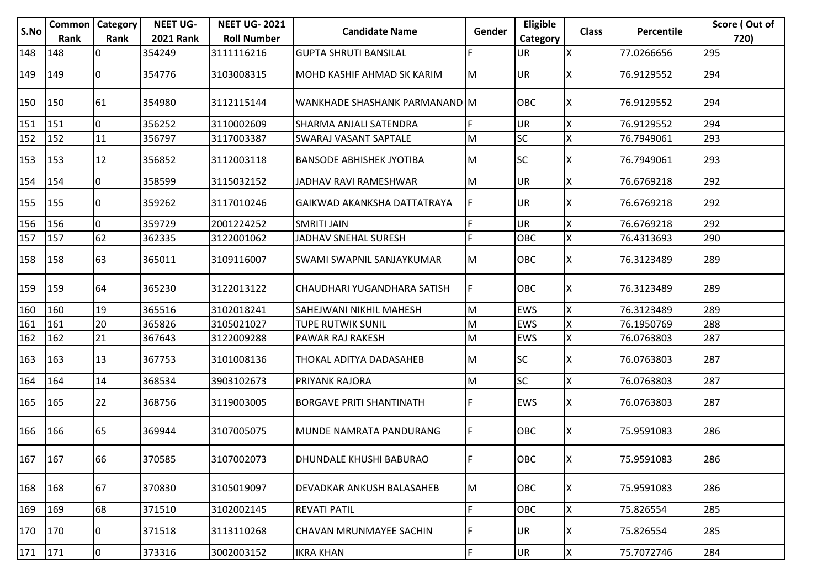|           |               | <b>Common   Category</b> | <b>NEET UG-</b>  | <b>NEET UG-2021</b> |                                   |        | Eligible   |              |            | Score (Out of |
|-----------|---------------|--------------------------|------------------|---------------------|-----------------------------------|--------|------------|--------------|------------|---------------|
| S.No      | <b>Rank</b>   | Rank                     | <b>2021 Rank</b> | <b>Roll Number</b>  | <b>Candidate Name</b>             | Gender | Category   | <b>Class</b> | Percentile | 720)          |
| 148       | 148           | 0                        | 354249           | 3111116216          | <b>GUPTA SHRUTI BANSILAL</b>      | F.     | <b>UR</b>  | Ιx           | 77.0266656 | 295           |
| 149       | $ 149\rangle$ | 0                        | 354776           | 3103008315          | <b>MOHD KASHIF AHMAD SK KARIM</b> | M      | <b>UR</b>  | ΙX           | 76.9129552 | 294           |
| 150       | 150           | 61                       | 354980           | 3112115144          | WANKHADE SHASHANK PARMANAND M     |        | OBC        | Iχ           | 76.9129552 | 294           |
| 151       | 151           | $\mathbf 0$              | 356252           | 3110002609          | SHARMA ANJALI SATENDRA            | F.     | <b>UR</b>  | X            | 76.9129552 | 294           |
| 152       | 152           | 11                       | 356797           | 3117003387          | <b>SWARAJ VASANT SAPTALE</b>      | M      | <b>SC</b>  | X            | 76.7949061 | 293           |
| 153       | 153           | 12                       | 356852           | 3112003118          | <b>BANSODE ABHISHEK JYOTIBA</b>   | M      | <b>SC</b>  | ΙX           | 76.7949061 | 293           |
| 154       | 154           | 0                        | 358599           | 3115032152          | JADHAV RAVI RAMESHWAR             | M      | <b>UR</b>  | X            | 76.6769218 | 292           |
| 155       | 155           | 0                        | 359262           | 3117010246          | GAIKWAD AKANKSHA DATTATRAYA       | F      | <b>UR</b>  | X            | 76.6769218 | 292           |
| 156       | 156           | $\mathbf 0$              | 359729           | 2001224252          | <b>SMRITI JAIN</b>                | F.     | <b>UR</b>  | X            | 76.6769218 | 292           |
| 157       | 157           | 62                       | 362335           | 3122001062          | <b>JADHAV SNEHAL SURESH</b>       | F.     | <b>OBC</b> | X            | 76.4313693 | 290           |
| 158       | 158           | 63                       | 365011           | 3109116007          | <b>SWAMI SWAPNIL SANJAYKUMAR</b>  | M      | <b>OBC</b> | ΙX           | 76.3123489 | 289           |
| 159       | 159           | 64                       | 365230           | 3122013122          | CHAUDHARI YUGANDHARA SATISH       | F      | <b>OBC</b> | X            | 76.3123489 | 289           |
| 160       | 160           | 19                       | 365516           | 3102018241          | <b>SAHEJWANI NIKHIL MAHESH</b>    | M      | <b>EWS</b> | X            | 76.3123489 | 289           |
| 161       | 161           | 20                       | 365826           | 3105021027          | TUPE RUTWIK SUNIL                 | M      | <b>EWS</b> | ΙX           | 76.1950769 | 288           |
| 162       | 162           | 21                       | 367643           | 3122009288          | PAWAR RAJ RAKESH                  | M      | <b>EWS</b> | X            | 76.0763803 | 287           |
| 163       | 163           | 13                       | 367753           | 3101008136          | THOKAL ADITYA DADASAHEB           | M      | <b>SC</b>  | ΙX           | 76.0763803 | 287           |
| 164       | 164           | 14                       | 368534           | 3903102673          | PRIYANK RAJORA                    | M      | SC         | X            | 76.0763803 | 287           |
| 165       | 165           | 22                       | 368756           | 3119003005          | <b>BORGAVE PRITI SHANTINATH</b>   | F.     | <b>EWS</b> | ΙX           | 76.0763803 | 287           |
| 166       | 166           | 65                       | 369944           | 3107005075          | MUNDE NAMRATA PANDURANG           | F.     | OBC        | X            | 75.9591083 | 286           |
| 167   167 |               | 66                       | 370585           | 3107002073          | DHUNDALE KHUSHI BABURAO           | IF.    | <b>OBC</b> | ΙX           | 75.9591083 | 286           |
| 168       | 168           | 67                       | 370830           | 3105019097          | DEVADKAR ANKUSH BALASAHEB         | M      | <b>OBC</b> | X            | 75.9591083 | 286           |
| 169       | 169           | 68                       | 371510           | 3102002145          | <b>REVATI PATIL</b>               | F.     | OBC        | X            | 75.826554  | 285           |
| 170       | $ 170\rangle$ | 0                        | 371518           | 3113110268          | CHAVAN MRUNMAYEE SACHIN           | F.     | UR         | ΙX.          | 75.826554  | 285           |
| 171 171   |               | $\overline{0}$           | 373316           | 3002003152          | <b>IKRA KHAN</b>                  | F      | <b>UR</b>  | <b>X</b>     | 75.7072746 | 284           |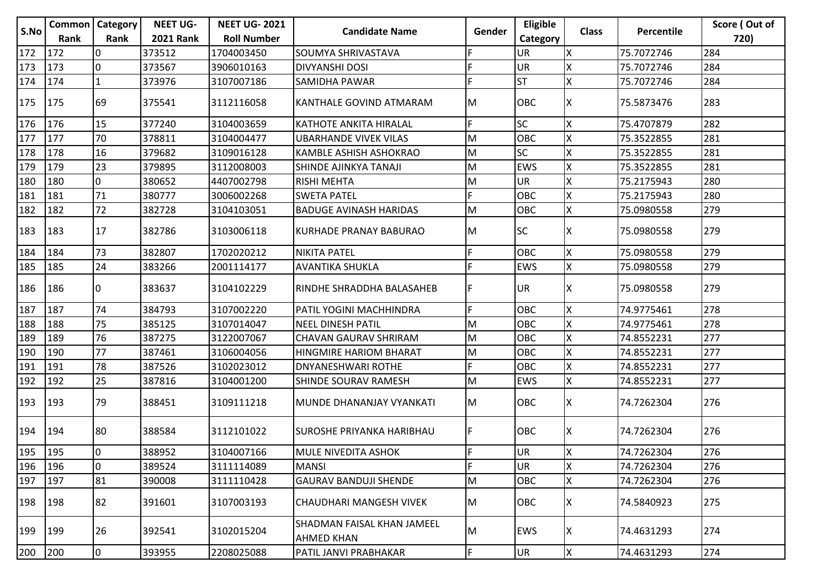| S.No | Common         | <b>Category</b> | <b>NEET UG-</b>  | <b>NEET UG-2021</b> | <b>Candidate Name</b>                           | Gender | Eligible   | <b>Class</b> | Percentile | Score (Out of |
|------|----------------|-----------------|------------------|---------------------|-------------------------------------------------|--------|------------|--------------|------------|---------------|
|      | <b>Rank</b>    | Rank            | <b>2021 Rank</b> | <b>Roll Number</b>  |                                                 |        | Category   |              |            | 720)          |
| 172  | 172            | I٥              | 373512           | 1704003450          | <b>SOUMYA SHRIVASTAVA</b>                       | F      | <b>UR</b>  | X            | 75.7072746 | 284           |
| 173  | 173            | l0              | 373567           | 3906010163          | <b>DIVYANSHI DOSI</b>                           | F      | <b>UR</b>  |              | 75.7072746 | 284           |
| 174  | 174            | $\mathbf{1}$    | 373976           | 3107007186          | SAMIDHA PAWAR                                   | E      | lsт        | X            | 75.7072746 | 284           |
| 175  | 175            | 69              | 375541           | 3112116058          | KANTHALE GOVIND ATMARAM                         | IM.    | <b>OBC</b> | ΙX           | 75.5873476 | 283           |
| 176  | 176            | 15              | 377240           | 3104003659          | <b>KATHOTE ANKITA HIRALAL</b>                   | IF.    | lsc        | X            | 75.4707879 | 282           |
| 177  | 177            | 70              | 378811           | 3104004477          | <b>UBARHANDE VIVEK VILAS</b>                    | lм     | OBC        | X            | 75.3522855 | 281           |
| 178  | 178            | 16              | 379682           | 3109016128          | KAMBLE ASHISH ASHOKRAO                          | lм     | <b>SC</b>  | X            | 75.3522855 | 281           |
| 179  | 179            | 23              | 379895           | 3112008003          | SHINDE AJINKYA TANAJI                           | İМ     | <b>EWS</b> |              | 75.3522855 | 281           |
| 180  | 180            | 0               | 380652           | 4407002798          | <b>RISHI MEHTA</b>                              | M      | <b>UR</b>  |              | 75.2175943 | 280           |
| 181  | 181            | 71              | 380777           | 3006002268          | <b>SWETA PATEL</b>                              | F.     | OBC        | X            | 75.2175943 | 280           |
| 182  | 182            | 72              | 382728           | 3104103051          | <b>BADUGE AVINASH HARIDAS</b>                   | İМ     | OBC        | X            | 75.0980558 | 279           |
| 183  | 183            | 17              | 382786           | 3103006118          | KURHADE PRANAY BABURAO                          | M      | <b>SC</b>  | х            | 75.0980558 | 279           |
| 184  | 184            | 73              | 382807           | 1702020212          | <b>NIKITA PATEL</b>                             | F      | <b>OBC</b> |              | 75.0980558 | 279           |
| 185  | 185            | 24              | 383266           | 2001114177          | <b>AVANTIKA SHUKLA</b>                          | E      | <b>EWS</b> | X            | 75.0980558 | 279           |
| 186  | 186            | 10              | 383637           | 3104102229          | IRINDHE SHRADDHA BALASAHEB                      | IF     | UR.        | x            | 75.0980558 | 279           |
| 187  | 187            | 74              | 384793           | 3107002220          | PATIL YOGINI MACHHINDRA                         | lF.    | <b>OBC</b> | X            | 74.9775461 | 278           |
| 188  | 188            | 75              | 385125           | 3107014047          | <b>NEEL DINESH PATIL</b>                        | M      | <b>OBC</b> | Χ            | 74.9775461 | 278           |
| 189  | 189            | 76              | 387275           | 3122007067          | CHAVAN GAURAV SHRIRAM                           | M      | <b>OBC</b> |              | 74.8552231 | 277           |
| 190  | 190            | 77              | 387461           | 3106004056          | <b>HINGMIRE HARIOM BHARAT</b>                   | lм     | OBC        |              | 74.8552231 | 277           |
| 191  | 191            | 78              | 387526           | 3102023012          | DNYANESHWARI ROTHE                              | F      | <b>OBC</b> | X            | 74.8552231 | 277           |
| 192  | 192            | 25              | 387816           | 3104001200          | SHINDE SOURAV RAMESH                            | M      | <b>EWS</b> | X            | 74.8552231 | 277           |
| 193  | <sup>193</sup> | 79              | 388451           | 3109111218          | İMUNDE DHANANJAY VYANKATI                       | IM.    | <b>OBC</b> | IX.          | 74.7262304 | 276           |
| 194  | 194            | 80              | 388584           | 3112101022          | SUROSHE PRIYANKA HARIBHAU                       | IF.    | IOBC.      | ΙX.          | 74.7262304 | 276           |
| 195  | 195            | Iо              | 388952           | 3104007166          | <b>MULE NIVEDITA ASHOK</b>                      | F      | IUR.       | Ιx           | 74.7262304 | 276           |
| 196  | 196            | l0              | 389524           | 3111114089          | <b>MANSI</b>                                    | lF.    | <b>UR</b>  | X            | 74.7262304 | 276           |
| 197  | 197            | 81              | 390008           | 3111110428          | <b>GAURAV BANDUJI SHENDE</b>                    | lм     | <b>OBC</b> | X            | 74.7262304 | 276           |
| 198  | 198            | 82              | 391601           | 3107003193          | CHAUDHARI MANGESH VIVEK                         | M      | <b>OBC</b> | ΙX.          | 74.5840923 | 275           |
| 199  | 199            | 26              | 392541           | 3102015204          | SHADMAN FAISAL KHAN JAMEEL<br><b>AHMED KHAN</b> | M      | <b>EWS</b> | ΙX.          | 74.4631293 | 274           |
| 200  | 200            | $\overline{0}$  | 393955           | 2208025088          | PATIL JANVI PRABHAKAR                           | l۴.    | UR         | $\mathsf{X}$ | 74.4631293 | 274           |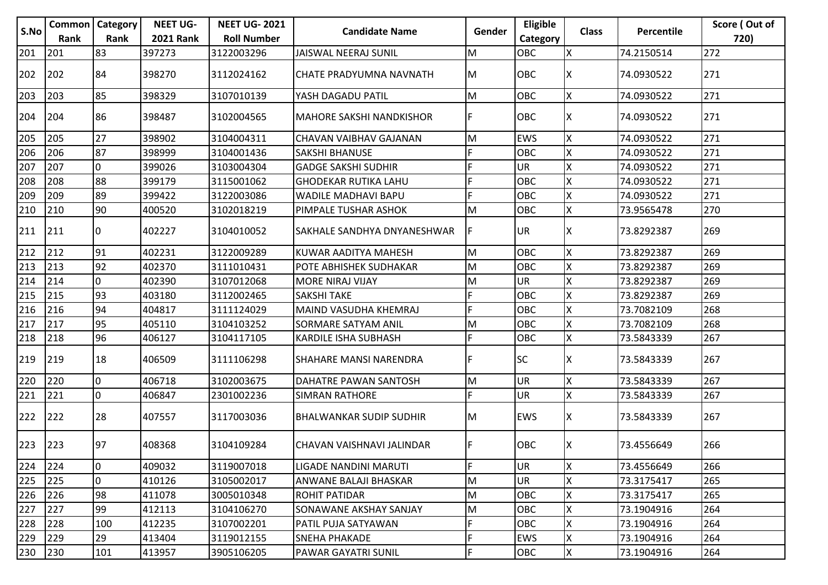|      | <b>Common   Category</b> |      | <b>NEET UG-</b>  | <b>NEET UG-2021</b> |                                 |        | Eligible   |              |            | Score (Out of |
|------|--------------------------|------|------------------|---------------------|---------------------------------|--------|------------|--------------|------------|---------------|
| S.No | Rank                     | Rank | <b>2021 Rank</b> | <b>Roll Number</b>  | <b>Candidate Name</b>           | Gender | Category   | <b>Class</b> | Percentile | 720)          |
| 201  | 201                      | 83   | 397273           | 3122003296          | <b>JAISWAL NEERAJ SUNIL</b>     | M      | OBC        | X            | 74.2150514 | 272           |
| 202  | 202                      | 84   | 398270           | 3112024162          | <b>CHATE PRADYUMNA NAVNATH</b>  | lм     | <b>OBC</b> | X            | 74.0930522 | 271           |
| 203  | 203                      | 85   | 398329           | 3107010139          | YASH DAGADU PATIL               | M      | OBC        | X            | 74.0930522 | 271           |
| 204  | 204                      | 86   | 398487           | 3102004565          | <b>MAHORE SAKSHI NANDKISHOR</b> | F      | OBC        | X            | 74.0930522 | 271           |
| 205  | 205                      | 27   | 398902           | 3104004311          | CHAVAN VAIBHAV GAJANAN          | M      | <b>EWS</b> | X            | 74.0930522 | 271           |
| 206  | 206                      | 87   | 398999           | 3104001436          | <b>SAKSHI BHANUSE</b>           | F      | <b>OBC</b> | ΙX           | 74.0930522 | 271           |
| 207  | 207                      | 0    | 399026           | 3103004304          | <b>GADGE SAKSHI SUDHIR</b>      | F      | <b>UR</b>  | X            | 74.0930522 | 271           |
| 208  | 208                      | 88   | 399179           | 3115001062          | <b>GHODEKAR RUTIKA LAHU</b>     | F      | OBC        | X            | 74.0930522 | 271           |
| 209  | 209                      | 89   | 399422           | 3122003086          | WADILE MADHAVI BAPU             | F      | OBC        | X            | 74.0930522 | 271           |
| 210  | 210                      | 90   | 400520           | 3102018219          | PIMPALE TUSHAR ASHOK            | M      | OBC        | X            | 73.9565478 | 270           |
| 211  | 211                      | 10   | 402227           | 3104010052          | SAKHALE SANDHYA DNYANESHWAR     | F      | <b>UR</b>  | ΙX           | 73.8292387 | 269           |
| 212  | 212                      | 91   | 402231           | 3122009289          | KUWAR AADITYA MAHESH            | M      | <b>OBC</b> | X            | 73.8292387 | 269           |
| 213  | 213                      | 92   | 402370           | 3111010431          | POTE ABHISHEK SUDHAKAR          | M      | OBC        | X            | 73.8292387 | 269           |
| 214  | 214                      | l0   | 402390           | 3107012068          | MORE NIRAJ VIJAY                | M      | <b>UR</b>  | X            | 73.8292387 | 269           |
| 215  | 215                      | 93   | 403180           | 3112002465          | <b>SAKSHI TAKE</b>              | F      | OBC        | X            | 73.8292387 | 269           |
| 216  | 216                      | 94   | 404817           | 3111124029          | MAIND VASUDHA KHEMRAJ           | F      | <b>OBC</b> | X            | 73.7082109 | 268           |
| 217  | 217                      | 95   | 405110           | 3104103252          | SORMARE SATYAM ANIL             | M      | OBC        | Χ            | 73.7082109 | 268           |
| 218  | 218                      | 96   | 406127           | 3104117105          | KARDILE ISHA SUBHASH            | F      | <b>OBC</b> | X            | 73.5843339 | 267           |
| 219  | 219                      | 18   | 406509           | 3111106298          | <b>SHAHARE MANSI NARENDRA</b>   | F      | <b>SC</b>  | ΙX           | 73.5843339 | 267           |
| 220  | 220                      | l0   | 406718           | 3102003675          | DAHATRE PAWAN SANTOSH           | M      | <b>UR</b>  | X            | 73.5843339 | 267           |
| 221  | 221                      | 0    | 406847           | 2301002236          | <b>SIMRAN RATHORE</b>           | F      | <b>UR</b>  | X            | 73.5843339 | 267           |
| 222  | 222                      | 28   | 407557           | 3117003036          | <b>BHALWANKAR SUDIP SUDHIR</b>  | IМ     | <b>EWS</b> | Ιx           | 73.5843339 | 267           |
| 223  | 223                      | 97   | 408368           | 3104109284          | CHAVAN VAISHNAVI JALINDAR       | F      | <b>OBC</b> | IΧ           | 73.4556649 | 266           |
| 224  | 224                      | 0    | 409032           | 3119007018          | LIGADE NANDINI MARUTI           | F      | UR         | X            | 73.4556649 | 266           |
| 225  | 225                      | 0    | 410126           | 3105002017          | ANWANE BALAJI BHASKAR           | M      | <b>UR</b>  | X            | 73.3175417 | 265           |
| 226  | 226                      | 98   | 411078           | 3005010348          | <b>ROHIT PATIDAR</b>            | M      | OBC        | ΙX           | 73.3175417 | 265           |
| 227  | 227                      | 99   | 412113           | 3104106270          | SONAWANE AKSHAY SANJAY          | M      | OBC        | X            | 73.1904916 | 264           |
| 228  | 228                      | 100  | 412235           | 3107002201          | PATIL PUJA SATYAWAN             | F      | OBC        | X            | 73.1904916 | 264           |
| 229  | 229                      | 29   | 413404           | 3119012155          | <b>SNEHA PHAKADE</b>            | F      | <b>EWS</b> | X            | 73.1904916 | 264           |
| 230  | 230                      | 101  | 413957           | 3905106205          | PAWAR GAYATRI SUNIL             | F      | OBC        | X            | 73.1904916 | 264           |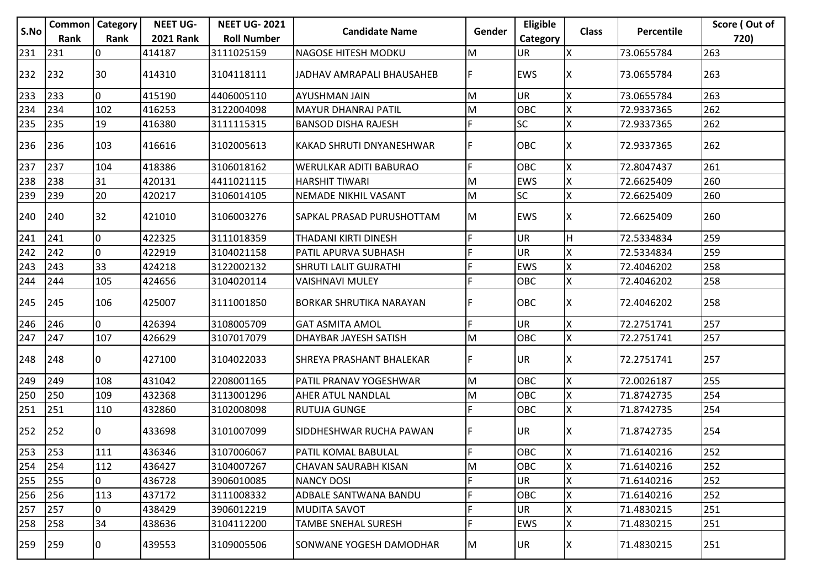|      |               | <b>Common   Category</b> | <b>NEET UG-</b>  | <b>NEET UG-2021</b> |                                  |        | Eligible   |              |                   | Score (Out of |
|------|---------------|--------------------------|------------------|---------------------|----------------------------------|--------|------------|--------------|-------------------|---------------|
| S.No | Rank          | Rank                     | <b>2021 Rank</b> | <b>Roll Number</b>  | <b>Candidate Name</b>            | Gender | Category   | <b>Class</b> | <b>Percentile</b> | 720)          |
| 231  | 231           | 10                       | 414187           | 3111025159          | <b>NAGOSE HITESH MODKU</b>       | M      | UR         | X            | 73.0655784        | 263           |
| 232  | 232           | 30                       | 414310           | 3104118111          | JADHAV AMRAPALI BHAUSAHEB        | F      | <b>EWS</b> | ΙX           | 73.0655784        | 263           |
| 233  | 233           | O                        | 415190           | 4406005110          | AYUSHMAN JAIN                    | M      | UR         | X            | 73.0655784        | 263           |
| 234  | 234           | 102                      | 416253           | 3122004098          | <b>MAYUR DHANRAJ PATIL</b>       | M      | <b>OBC</b> | Χ            | 72.9337365        | 262           |
| 235  | 235           | 19                       | 416380           | 3111115315          | <b>BANSOD DISHA RAJESH</b>       | F      | <b>SC</b>  | X            | 72.9337365        | 262           |
| 236  | 236           | 103                      | 416616           | 3102005613          | <b>KAKAD SHRUTI DNYANESHWAR</b>  | F      | OBC        | X            | 72.9337365        | 262           |
| 237  | 237           | 104                      | 418386           | 3106018162          | WERULKAR ADITI BABURAO           | F      | OBC        | X            | 72.8047437        | 261           |
| 238  | 238           | 31                       | 420131           | 4411021115          | <b>HARSHIT TIWARI</b>            | M      | <b>EWS</b> | X            | 72.6625409        | 260           |
| 239  | 239           | 20                       | 420217           | 3106014105          | NEMADE NIKHIL VASANT             | M      | SC         | Χ            | 72.6625409        | 260           |
| 240  | 240           | 32                       | 421010           | 3106003276          | <b>SAPKAL PRASAD PURUSHOTTAM</b> | lм     | <b>EWS</b> | ΙX           | 72.6625409        | 260           |
| 241  | 241           | l0                       | 422325           | 3111018359          | THADANI KIRTI DINESH             | F      | UR         | ΙH           | 72.5334834        | 259           |
| 242  | 242           | l0                       | 422919           | 3104021158          | PATIL APURVA SUBHASH             | F      | UR         | Χ            | 72.5334834        | 259           |
| 243  | 243           | 33                       | 424218           | 3122002132          | <b>SHRUTI LALIT GUJRATHI</b>     | F      | EWS        | X            | 72.4046202        | 258           |
| 244  | 244           | 105                      | 424656           | 3104020114          | <b>VAISHNAVI MULEY</b>           | F      | OBC        | X            | 72.4046202        | 258           |
| 245  | 245           | 106                      | 425007           | 3111001850          | <b>BORKAR SHRUTIKA NARAYAN</b>   | F      | <b>OBC</b> | ΙX           | 72.4046202        | 258           |
| 246  | 246           | 0                        | 426394           | 3108005709          | <b>GAT ASMITA AMOL</b>           | F      | <b>UR</b>  | Χ            | 72.2751741        | 257           |
| 247  | 247           | 107                      | 426629           | 3107017079          | <b>DHAYBAR JAYESH SATISH</b>     | M      | OBC        | X            | 72.2751741        | 257           |
| 248  | 248           | 10                       | 427100           | 3104022033          | <b>SHREYA PRASHANT BHALEKAR</b>  | F      | <b>UR</b>  | ΙX           | 72.2751741        | 257           |
| 249  | 249           | 108                      | 431042           | 2208001165          | PATIL PRANAV YOGESHWAR           | M      | <b>OBC</b> | X            | 72.0026187        | 255           |
| 250  | 250           | 109                      | 432368           | 3113001296          | AHER ATUL NANDLAL                | M      | OBC        | X            | 71.8742735        | 254           |
| 251  | 251           | 110                      | 432860           | 3102008098          | <b>RUTUJA GUNGE</b>              | F      | OBC        | X            | 71.8742735        | 254           |
| 252  | 252           | 10                       | 433698           | 3101007099          | SIDDHESHWAR RUCHA PAWAN          | F      | <b>UR</b>  | ΙX           | 71.8742735        | 254           |
| 253  | $ 253\rangle$ | 111                      | 436346           | 3107006067          | PATIL KOMAL BABULAL              | F      | <b>OBC</b> | Ιx           | 71.6140216        | 252           |
| 254  | 254           | 112                      | 436427           | 3104007267          | <b>CHAVAN SAURABH KISAN</b>      | M      | OBC        | X            | 71.6140216        | 252           |
| 255  | 255           | 0                        | 436728           | 3906010085          | <b>NANCY DOSI</b>                | F      | <b>UR</b>  | Χ            | 71.6140216        | 252           |
| 256  | 256           | 113                      | 437172           | 3111008332          | ADBALE SANTWANA BANDU            | F      | OBC        | Χ            | 71.6140216        | 252           |
| 257  | 257           | 0                        | 438429           | 3906012219          | <b>MUDITA SAVOT</b>              | F      | <b>UR</b>  | X            | 71.4830215        | 251           |
| 258  | 258           | 34                       | 438636           | 3104112200          | <b>TAMBE SNEHAL SURESH</b>       | F      | EWS        | Χ            | 71.4830215        | 251           |
| 259  | 259           | 10                       | 439553           | 3109005506          | SONWANE YOGESH DAMODHAR          | M.     | UR         | ΙX.          | 71.4830215        | 251           |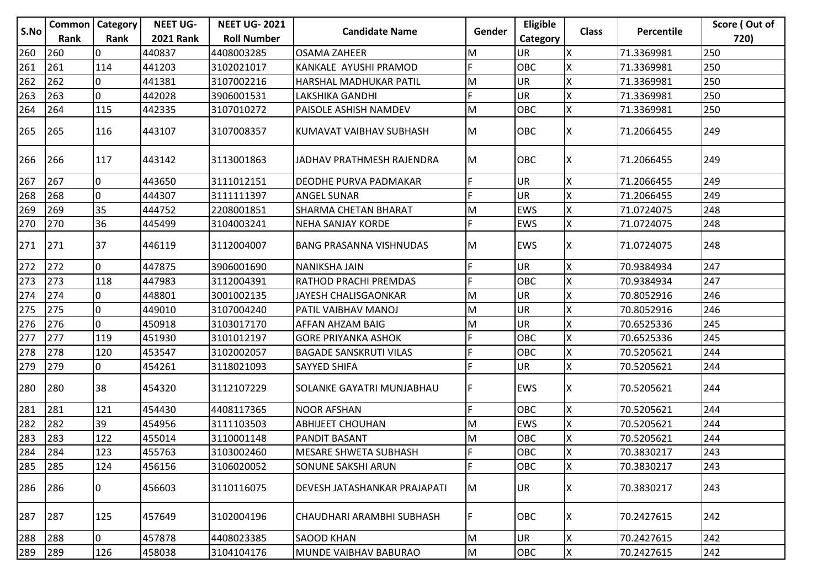|      | <b>Common</b>   Category |      | <b>NEET UG-</b>  | <b>NEET UG-2021</b> |                                |        | Eligible   |              |            | Score (Out of |
|------|--------------------------|------|------------------|---------------------|--------------------------------|--------|------------|--------------|------------|---------------|
| S.No | Rank                     | Rank | <b>2021 Rank</b> | <b>Roll Number</b>  | <b>Candidate Name</b>          | Gender | Category   | <b>Class</b> | Percentile | 720)          |
| 260  | 260                      | I0   | 440837           | 4408003285          | <b>OSAMA ZAHEER</b>            | М      | UR         | X            | 71.3369981 | 250           |
| 261  | 261                      | 114  | 441203           | 3102021017          | KANKALE AYUSHI PRAMOD          | F      | OBC        |              | 71.3369981 | 250           |
| 262  | 262                      | 10   | 441381           | 3107002216          | HARSHAL MADHUKAR PATIL         | M      | <b>UR</b>  | X            | 71.3369981 | 250           |
| 263  | 263                      | 0    | 442028           | 3906001531          | LAKSHIKA GANDHI                |        | <b>UR</b>  |              | 71.3369981 | 250           |
| 264  | 264                      | 115  | 442335           | 3107010272          | PAISOLE ASHISH NAMDEV          | M      | OBC        | X            | 71.3369981 | 250           |
| 265  | 265                      | 116  | 443107           | 3107008357          | KUMAVAT VAIBHAV SUBHASH        | M      | <b>OBC</b> | ΙX           | 71.2066455 | 249           |
| 266  | 266                      | 117  | 443142           | 3113001863          | JADHAV PRATHMESH RAJENDRA      | M      | <b>OBC</b> | ΙX           | 71.2066455 | 249           |
| 267  | 267                      | I0   | 443650           | 3111012151          | DEODHE PURVA PADMAKAR          | F      | <b>UR</b>  | X            | 71.2066455 | 249           |
| 268  | 268                      | I٥   | 444307           | 3111111397          | <b>ANGEL SUNAR</b>             | F      | UR         | X            | 71.2066455 | 249           |
| 269  | 269                      | 35   | 444752           | 2208001851          | SHARMA CHETAN BHARAT           | M      | EWS        | X            | 71.0724075 | 248           |
| 270  | 270                      | 36   | 445499           | 3104003241          | <b>NEHA SANJAY KORDE</b>       | F      | <b>EWS</b> | X            | 71.0724075 | 248           |
| 271  | 271                      | 37   | 446119           | 3112004007          | <b>BANG PRASANNA VISHNUDAS</b> | M      | <b>EWS</b> | ΙX           | 71.0724075 | 248           |
| 272  | 272                      | 0    | 447875           | 3906001690          | <b>NANIKSHA JAIN</b>           | F      | <b>UR</b>  | X            | 70.9384934 | 247           |
| 273  | 273                      | 118  | 447983           | 3112004391          | RATHOD PRACHI PREMDAS          | F      | OBC        | X            | 70.9384934 | 247           |
| 274  | 274                      | 0    | 448801           | 3001002135          | JAYESH CHALISGAONKAR           | M      | UR         |              | 70.8052916 | 246           |
| 275  | 275                      | l0   | 449010           | 3107004240          | PATIL VAIBHAV MANOJ            | M      | <b>UR</b>  | X            | 70.8052916 | 246           |
| 276  | 276                      | I O  | 450918           | 3103017170          | AFFAN AHZAM BAIG               | M      | UR         | ΙX           | 70.6525336 | 245           |
| 277  | 277                      | 119  | 451930           | 3101012197          | <b>GORE PRIYANKA ASHOK</b>     | F      | OBC        |              | 70.6525336 | 245           |
| 278  | 278                      | 120  | 453547           | 3102002057          | <b>BAGADE SANSKRUTI VILAS</b>  | F      | OBC        | Χ            | 70.5205621 | 244           |
| 279  | 279                      | 0    | 454261           | 3118021093          | <b>SAYYED SHIFA</b>            | F      | <b>UR</b>  | X            | 70.5205621 | 244           |
| 280  | 280                      | 38   | 454320           | 3112107229          | SOLANKE GAYATRI MUNJABHAU      | F      | <b>EWS</b> | х            | 70.5205621 | 244           |
| 281  | 281                      | 121  | 454430           | 4408117365          | <b>NOOR AFSHAN</b>             | F      | OBC        | X            | 70.5205621 | 244           |
| 282  | 282                      | 39   | 454956           | 3111103503          | <b>ABHIJEET CHOUHAN</b>        | M      | <b>EWS</b> | X            | 70.5205621 | 244           |
| 283  | 283                      | 122  | 455014           | 3110001148          | <b>PANDIT BASANT</b>           | M      | OBC        |              | 70.5205621 | 244           |
| 284  | 284                      | 123  | 455763           | 3103002460          | <b>MESARE SHWETA SUBHASH</b>   | F      | Іовс       | lχ           | 70.3830217 | 243           |
| 285  | 285                      | 124  | 456156           | 3106020052          | SONUNE SAKSHI ARUN             | F      | OBC        | X            | 70.3830217 | 243           |
| 286  | 286                      | 10   | 456603           | 3110116075          | DEVESH JATASHANKAR PRAJAPATI   | M      | <b>UR</b>  |              | 70.3830217 | 243           |
| 287  | 287                      | 125  | 457649           | 3102004196          | CHAUDHARI ARAMBHI SUBHASH      | F      | <b>OBC</b> | X            | 70.2427615 | 242           |
| 288  | 288                      | 0    | 457878           | 4408023385          | <b>SAOOD KHAN</b>              | M      | <b>UR</b>  | X            | 70.2427615 | 242           |
| 289  | 289                      | 126  | 458038           | 3104104176          | MUNDE VAIBHAV BABURAO          | M      | OBC        | X            | 70.2427615 | 242           |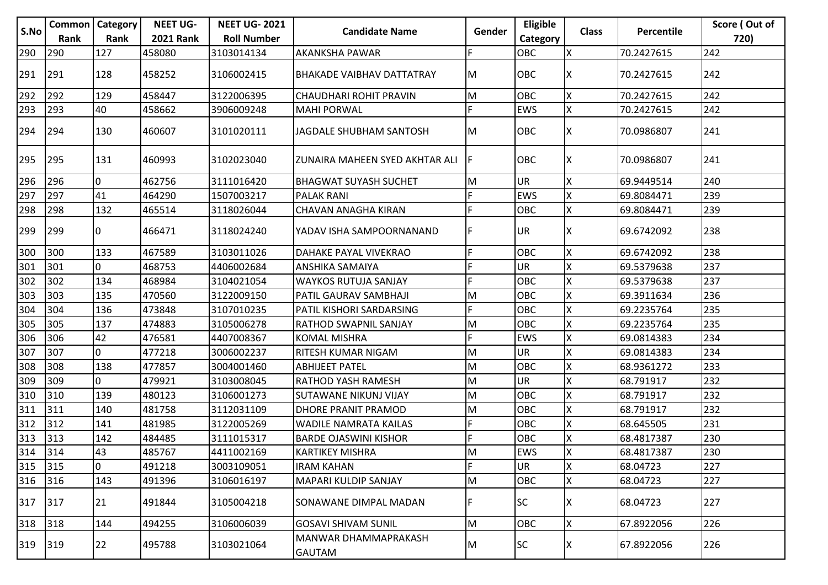|      |      | <b>Common   Category</b> | <b>NEET UG-</b>  | <b>NEET UG-2021</b> |                                       |        | Eligible   |              |                   | Score (Out of |
|------|------|--------------------------|------------------|---------------------|---------------------------------------|--------|------------|--------------|-------------------|---------------|
| S.No | Rank | Rank                     | <b>2021 Rank</b> | <b>Roll Number</b>  | <b>Candidate Name</b>                 | Gender | Category   | <b>Class</b> | <b>Percentile</b> | 720)          |
| 290  | 290  | 127                      | 458080           | 3103014134          | <b>AKANKSHA PAWAR</b>                 | F      | OBC        | Χ            | 70.2427615        | 242           |
| 291  | 291  | 128                      | 458252           | 3106002415          | <b>BHAKADE VAIBHAV DATTATRAY</b>      | ΙM     | <b>OBC</b> | x            | 70.2427615        | 242           |
| 292  | 292  | 129                      | 458447           | 3122006395          | <b>CHAUDHARI ROHIT PRAVIN</b>         | M      | OBC        | X            | 70.2427615        | 242           |
| 293  | 293  | 40                       | 458662           | 3906009248          | <b>MAHI PORWAL</b>                    | F      | <b>EWS</b> | X            | 70.2427615        | 242           |
| 294  | 294  | 130                      | 460607           | 3101020111          | JAGDALE SHUBHAM SANTOSH               | M      | OBC        | х            | 70.0986807        | 241           |
| 295  | 295  | 131                      | 460993           | 3102023040          | ZUNAIRA MAHEEN SYED AKHTAR ALI        | IF     | OBC        | x            | 70.0986807        | 241           |
| 296  | 296  | 0                        | 462756           | 3111016420          | <b>BHAGWAT SUYASH SUCHET</b>          | M      | <b>UR</b>  | X            | 69.9449514        | 240           |
| 297  | 297  | 41                       | 464290           | 1507003217          | <b>PALAK RANI</b>                     | F      | <b>EWS</b> | Χ            | 69.8084471        | 239           |
| 298  | 298  | 132                      | 465514           | 3118026044          | CHAVAN ANAGHA KIRAN                   | F      | OBC        | X            | 69.8084471        | 239           |
| 299  | 299  | 10                       | 466471           | 3118024240          | YADAV ISHA SAMPOORNANAND              | F      | <b>UR</b>  | x            | 69.6742092        | 238           |
| 300  | 300  | 133                      | 467589           | 3103011026          | DAHAKE PAYAL VIVEKRAO                 | F      | OBC        | Χ            | 69.6742092        | 238           |
| 301  | 301  | 0                        | 468753           | 4406002684          | ANSHIKA SAMAIYA                       | E      | <b>UR</b>  | X            | 69.5379638        | 237           |
| 302  | 302  | 134                      | 468984           | 3104021054          | <b>WAYKOS RUTUJA SANJAY</b>           | F      | OBC        | X            | 69.5379638        | 237           |
| 303  | 303  | 135                      | 470560           | 3122009150          | PATIL GAURAV SAMBHAJI                 | M      | OBC        | X            | 69.3911634        | 236           |
| 304  | 304  | 136                      | 473848           | 3107010235          | PATIL KISHORI SARDARSING              | F      | OBC        | X            | 69.2235764        | 235           |
| 305  | 305  | 137                      | 474883           | 3105006278          | RATHOD SWAPNIL SANJAY                 | M      | OBC        | Χ            | 69.2235764        | 235           |
| 306  | 306  | 42                       | 476581           | 4407008367          | <b>KOMAL MISHRA</b>                   | F      | <b>EWS</b> | X            | 69.0814383        | 234           |
| 307  | 307  | 0                        | 477218           | 3006002237          | RITESH KUMAR NIGAM                    | M      | <b>UR</b>  | Χ            | 69.0814383        | 234           |
| 308  | 308  | 138                      | 477857           | 3004001460          | <b>ABHIJEET PATEL</b>                 | M      | OBC        | X            | 68.9361272        | 233           |
| 309  | 309  | 0                        | 479921           | 3103008045          | <b>RATHOD YASH RAMESH</b>             | M      | UR         | X            | 68.791917         | 232           |
| 310  | 310  | 139                      | 480123           | 3106001273          | SUTAWANE NIKUNJ VIJAY                 | M      | OBC        | X            | 68.791917         | 232           |
| 311  | 311  | 140                      | 481758           | 3112031109          | DHORE PRANIT PRAMOD                   | M      | OBC        | X            | 68.791917         | 232           |
| 312  | 312  | 141                      | 481985           | 3122005269          | WADILE NAMRATA KAILAS                 | F      | OBC        | X            | 68.645505         | 231           |
| 313  | 313  | 142                      | 484485           | 3111015317          | <b>BARDE OJASWINI KISHOR</b>          | F      | OBC        |              | 68.4817387        | 230           |
| 314  | 1314 | 43                       | 485767           | 4411002169          | <b>KARTIKEY MISHRA</b>                | lм     | <b>EWS</b> | Ιx           | 68.4817387        | 230           |
| 315  | 315  | lo.                      | 491218           | 3003109051          | <b>IRAM KAHAN</b>                     | F      | <b>UR</b>  | X            | 68.04723          | 227           |
| 316  | 316  | 143                      | 491396           | 3106016197          | MAPARI KULDIP SANJAY                  | M      | OBC        | Χ            | 68.04723          | 227           |
| 317  | 317  | 21                       | 491844           | 3105004218          | SONAWANE DIMPAL MADAN                 | F      | <b>SC</b>  |              | 68.04723          | 227           |
| 318  | 318  | 144                      | 494255           | 3106006039          | <b>GOSAVI SHIVAM SUNIL</b>            | M      | OBC        | X            | 67.8922056        | 226           |
| 319  | 319  | 22                       | 495788           | 3103021064          | MANWAR DHAMMAPRAKASH<br><b>GAUTAM</b> | M.     | SC.        | ΙX.          | 67.8922056        | 226           |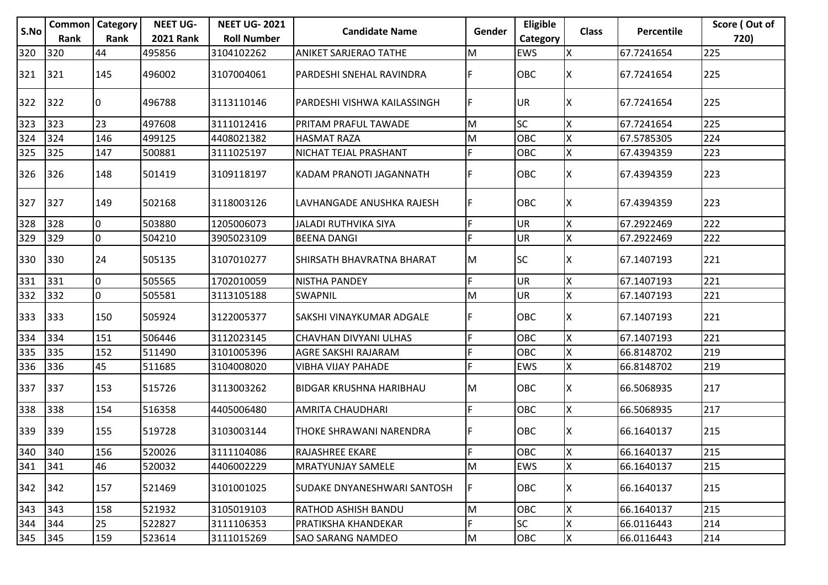|      |               | <b>Common</b>   Category | <b>NEET UG-</b>  | <b>NEET UG-2021</b> |                                |        | Eligible   |              |                   | Score (Out of |
|------|---------------|--------------------------|------------------|---------------------|--------------------------------|--------|------------|--------------|-------------------|---------------|
| S.No | Rank          | Rank                     | <b>2021 Rank</b> | <b>Roll Number</b>  | <b>Candidate Name</b>          | Gender | Category   | <b>Class</b> | <b>Percentile</b> | 720)          |
| 320  | 320           | 44                       | 495856           | 3104102262          | <b>ANIKET SARJERAO TATHE</b>   | M      | EWS        | Χ            | 67.7241654        | 225           |
| 321  | 321           | 145                      | 496002           | 3107004061          | PARDESHI SNEHAL RAVINDRA       | F      | <b>OBC</b> | ΙX           | 67.7241654        | 225           |
| 322  | 322           | 10                       | 496788           | 3113110146          | PARDESHI VISHWA KAILASSINGH    | F      | <b>UR</b>  | X            | 67.7241654        | 225           |
| 323  | 323           | 23                       | 497608           | 3111012416          | PRITAM PRAFUL TAWADE           | M      | <b>SC</b>  | Χ            | 67.7241654        | 225           |
| 324  | 324           | 146                      | 499125           | 4408021382          | <b>HASMAT RAZA</b>             | M      | OBC        | X            | 67.5785305        | 224           |
| 325  | 325           | 147                      | 500881           | 3111025197          | NICHAT TEJAL PRASHANT          | F      | OBC        | X            | 67.4394359        | 223           |
| 326  | 326           | 148                      | 501419           | 3109118197          | KADAM PRANOTI JAGANNATH        | F      | OBC        | X            | 67.4394359        | 223           |
| 327  | 327           | 149                      | 502168           | 3118003126          | LAVHANGADE ANUSHKA RAJESH      | F      | <b>OBC</b> | ΙX           | 67.4394359        | 223           |
| 328  | 328           | l0                       | 503880           | 1205006073          | <b>JALADI RUTHVIKA SIYA</b>    | F      | UR         | Χ            | 67.2922469        | 222           |
| 329  | 329           | lo.                      | 504210           | 3905023109          | <b>BEENA DANGI</b>             | F      | <b>UR</b>  | X            | 67.2922469        | 222           |
| 330  | 330           | 24                       | 505135           | 3107010277          | SHIRSATH BHAVRATNA BHARAT      | ΙM     | <b>SC</b>  | х            | 67.1407193        | 221           |
| 331  | 331           | l0                       | 505565           | 1702010059          | <b>NISTHA PANDEY</b>           | F      | <b>UR</b>  | X            | 67.1407193        | 221           |
| 332  | 332           | l0                       | 505581           | 3113105188          | <b>SWAPNIL</b>                 | M      | <b>UR</b>  | X            | 67.1407193        | 221           |
| 333  | 333           | 150                      | 505924           | 3122005377          | SAKSHI VINAYKUMAR ADGALE       | F      | OBC        | x            | 67.1407193        | 221           |
| 334  | 334           | 151                      | 506446           | 3112023145          | CHAVHAN DIVYANI ULHAS          | F      | OBC        | X            | 67.1407193        | 221           |
| 335  | 335           | 152                      | 511490           | 3101005396          | AGRE SAKSHI RAJARAM            | F      | OBC        | Χ            | 66.8148702        | 219           |
| 336  | 336           | 45                       | 511685           | 3104008020          | <b>VIBHA VIJAY PAHADE</b>      | F      | <b>EWS</b> | Χ            | 66.8148702        | 219           |
| 337  | 337           | 153                      | 515726           | 3113003262          | <b>BIDGAR KRUSHNA HARIBHAU</b> | lм     | OBC        | x            | 66.5068935        | 217           |
| 338  | 338           | 154                      | 516358           | 4405006480          | <b>AMRITA CHAUDHARI</b>        | F      | OBC        | X            | 66.5068935        | 217           |
| 339  | 339           | 155                      | 519728           | 3103003144          | THOKE SHRAWANI NARENDRA        | F      | OBC        | x            | 66.1640137        | 215           |
| 340  | $ 340\rangle$ | 156                      | 520026           | 3111104086          | <b>RAJASHREE EKARE</b>         | F      | <b>OBC</b> | Iх           | 66.1640137        | 215           |
| 341  | 341           | 46                       | 520032           | 4406002229          | <b>MRATYUNJAY SAMELE</b>       | M      | EWS        | X            | 66.1640137        | 215           |
| 342  | 342           | 157                      | 521469           | 3101001025          | SUDAKE DNYANESHWARI SANTOSH    | F      | OBC        | ΙX           | 66.1640137        | 215           |
| 343  | 343           | 158                      | 521932           | 3105019103          | RATHOD ASHISH BANDU            | M      | OBC        | X            | 66.1640137        | 215           |
| 344  | 344           | 25                       | 522827           | 3111106353          | PRATIKSHA KHANDEKAR            | F      | <b>SC</b>  | Χ            | 66.0116443        | 214           |
| 345  | 345           | 159                      | 523614           | 3111015269          | <b>SAO SARANG NAMDEO</b>       | M      | OBC        | X            | 66.0116443        | 214           |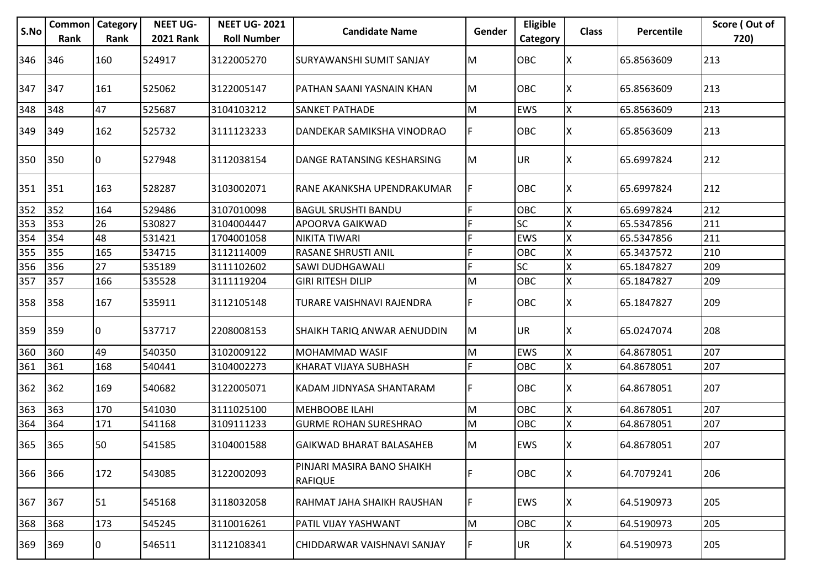| S.No | Common<br>Rank | Category<br>Rank | <b>NEET UG-</b><br><b>2021 Rank</b> | <b>NEET UG-2021</b><br><b>Roll Number</b> | <b>Candidate Name</b>                        | Gender | Eligible<br>Category | <b>Class</b> | Percentile | Score (Out of<br>720) |
|------|----------------|------------------|-------------------------------------|-------------------------------------------|----------------------------------------------|--------|----------------------|--------------|------------|-----------------------|
| 346  | 346            | 160              | 524917                              | 3122005270                                | SURYAWANSHI SUMIT SANJAY                     | lм     | <b>OBC</b>           | ΙX           | 65.8563609 | 213                   |
| 347  | 347            | 161              | 525062                              | 3122005147                                | PATHAN SAANI YASNAIN KHAN                    | IM.    | <b>OBC</b>           | ΙX           | 65.8563609 | 213                   |
| 348  | 348            | 47               | 525687                              | 3104103212                                | <b>SANKET PATHADE</b>                        | Iм     | <b>EWS</b>           | X            | 65.8563609 | 213                   |
| 349  | 349            | 162              | 525732                              | 3111123233                                | DANDEKAR SAMIKSHA VINODRAO                   | F      | <b>OBC</b>           | х            | 65.8563609 | 213                   |
| 350  | 350            | 10               | 527948                              | 3112038154                                | <b>DANGE RATANSING KESHARSING</b>            | lм     | UR.                  | х            | 65.6997824 | 212                   |
| 351  | 351            | 163              | 528287                              | 3103002071                                | RANE AKANKSHA UPENDRAKUMAR                   | IF     | <b>OBC</b>           | x            | 65.6997824 | 212                   |
| 352  | 352            | 164              | 529486                              | 3107010098                                | <b>BAGUL SRUSHTI BANDU</b>                   | lF.    | OBC                  | X            | 65.6997824 | 212                   |
| 353  | 353            | 26               | 530827                              | 3104004447                                | APOORVA GAIKWAD                              | F      | <b>SC</b>            | Χ            | 65.5347856 | 211                   |
| 354  | 354            | 48               | 531421                              | 1704001058                                | <b>NIKITA TIWARI</b>                         |        | <b>EWS</b>           |              | 65.5347856 | 211                   |
| 355  | 355            | 165              | 534715                              | 3112114009                                | RASANE SHRUSTI ANIL                          | F      | OBC                  |              | 65.3437572 | 210                   |
| 356  | 356            | 27               | 535189                              | 3111102602                                | <b>SAWI DUDHGAWALI</b>                       | F      | <b>SC</b>            |              | 65.1847827 | 209                   |
| 357  | 357            | 166              | 535528                              | 3111119204                                | <b>GIRI RITESH DILIP</b>                     | M      | OBC                  | X            | 65.1847827 | 209                   |
| 358  | 358            | 167              | 535911                              | 3112105148                                | TURARE VAISHNAVI RAJENDRA                    | IF.    | <b>OBC</b>           | x            | 65.1847827 | 209                   |
| 359  | 359            | 10               | 537717                              | 2208008153                                | SHAIKH TARIQ ANWAR AENUDDIN                  | lм     | UR.                  | x            | 65.0247074 | 208                   |
| 360  | 360            | 49               | 540350                              | 3102009122                                | MOHAMMAD WASIF                               | M      | <b>EWS</b>           |              | 64.8678051 | 207                   |
| 361  | 361            | 168              | 540441                              | 3104002273                                | KHARAT VIJAYA SUBHASH                        | F.     | OBC                  | X            | 64.8678051 | 207                   |
| 362  | 362            | 169              | 540682                              | 3122005071                                | KADAM JIDNYASA SHANTARAM                     | IF     | <b>OBC</b>           |              | 64.8678051 | 207                   |
| 363  | 363            | 170              | 541030                              | 3111025100                                | <b>MEHBOOBE ILAHI</b>                        | M      | OBC                  | X            | 64.8678051 | 207                   |
| 364  | 364            | 171              | 541168                              | 3109111233                                | <b>GURME ROHAN SURESHRAO</b>                 | lм     | <b>OBC</b>           | Χ            | 64.8678051 | 207                   |
| 365  | 365            | 50               | 541585                              | 3104001588                                | <b>GAIKWAD BHARAT BALASAHEB</b>              | IM.    | <b>EWS</b>           | x            | 64.8678051 | 207                   |
| 366  | 366            | 172              | 543085                              | 3122002093                                | PINJARI MASIRA BANO SHAIKH<br><b>RAFIQUE</b> | lF.    | OBC                  | x            | 64.7079241 | 206                   |
| 367  | 367            | 51               | 545168                              | 3118032058                                | RAHMAT JAHA SHAIKH RAUSHAN                   | F      | <b>EWS</b>           | х            | 64.5190973 | 205                   |
| 368  | 368            | 173              | 545245                              | 3110016261                                | PATIL VIJAY YASHWANT                         | lм     | OBC                  | X            | 64.5190973 | 205                   |
| 369  | 369            | 0                | 546511                              | 3112108341                                | CHIDDARWAR VAISHNAVI SANJAY                  | IF.    | UR.                  | х            | 64.5190973 | 205                   |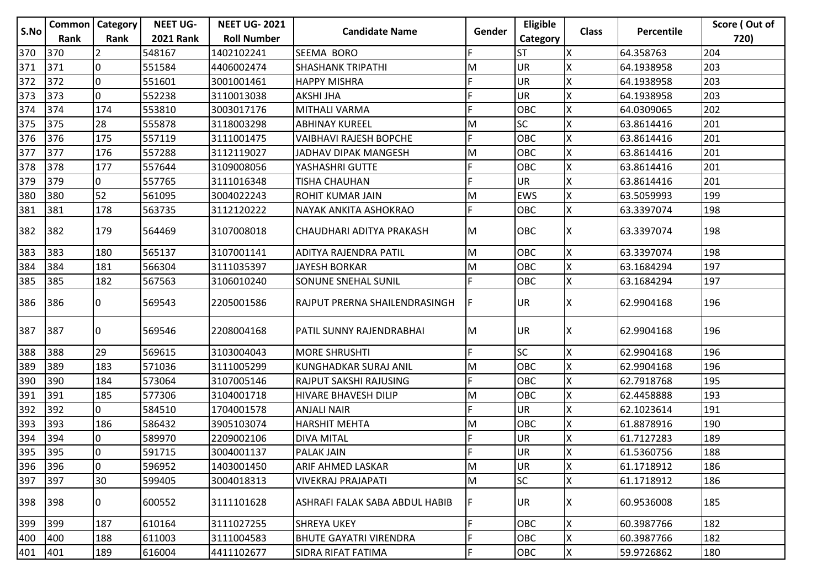|      | <b>Common</b>   Category |      | <b>NEET UG-</b>  | <b>NEET UG-2021</b> |                                |           | Eligible   |              |            | Score (Out of |
|------|--------------------------|------|------------------|---------------------|--------------------------------|-----------|------------|--------------|------------|---------------|
| S.No | Rank                     | Rank | <b>2021 Rank</b> | <b>Roll Number</b>  | <b>Candidate Name</b>          | Gender    | Category   | <b>Class</b> | Percentile | 720)          |
| 370  | 370                      |      | 548167           | 1402102241          | SEEMA BORO                     |           | <b>ST</b>  | Х            | 64.358763  | 204           |
| 371  | 371                      | l0   | 551584           | 4406002474          | <b>SHASHANK TRIPATHI</b>       | м         | <b>UR</b>  |              | 64.1938958 | 203           |
| 372  | 372                      | 10   | 551601           | 3001001461          | <b>HAPPY MISHRA</b>            | F         | <b>UR</b>  |              | 64.1938958 | 203           |
| 373  | 373                      | l0   | 552238           | 3110013038          | <b>AKSHI JHA</b>               | F         | <b>UR</b>  |              | 64.1938958 | 203           |
| 374  | 374                      | 174  | 553810           | 3003017176          | MITHALI VARMA                  | F         | OBC        |              | 64.0309065 | 202           |
| 375  | 375                      | 28   | 555878           | 3118003298          | <b>ABHINAY KUREEL</b>          | M         | <b>SC</b>  | Χ            | 63.8614416 | 201           |
| 376  | 376                      | 175  | 557119           | 3111001475          | <b>VAIBHAVI RAJESH BOPCHE</b>  | F         | OBC        | Х            | 63.8614416 | 201           |
| 377  | 377                      | 176  | 557288           | 3112119027          | JADHAV DIPAK MANGESH           | М         | <b>OBC</b> | Х            | 63.8614416 | 201           |
| 378  | 378                      | 177  | 557644           | 3109008056          | YASHASHRI GUTTE                | F         | <b>OBC</b> | X            | 63.8614416 | 201           |
| 379  | 379                      | 0    | 557765           | 3111016348          | TISHA CHAUHAN                  | F         | <b>UR</b>  |              | 63.8614416 | 201           |
| 380  | 380                      | 52   | 561095           | 3004022243          | ROHIT KUMAR JAIN               | M         | <b>EWS</b> | x            | 63.5059993 | 199           |
| 381  | 381                      | 178  | 563735           | 3112120222          | NAYAK ANKITA ASHOKRAO          | F         | OBC        | X            | 63.3397074 | 198           |
| 382  | 382                      | 179  | 564469           | 3107008018          | CHAUDHARI ADITYA PRAKASH       | M         | <b>OBC</b> | ΙX           | 63.3397074 | 198           |
| 383  | 383                      | 180  | 565137           | 3107001141          | ADITYA RAJENDRA PATIL          | M         | <b>OBC</b> | Χ            | 63.3397074 | 198           |
| 384  | 384                      | 181  | 566304           | 3111035397          | <b>JAYESH BORKAR</b>           | M         | <b>OBC</b> | Χ            | 63.1684294 | 197           |
| 385  | 385                      | 182  | 567563           | 3106010240          | SONUNE SNEHAL SUNIL            | F         | <b>OBC</b> | X            | 63.1684294 | 197           |
| 386  | 386                      | IО   | 569543           | 2205001586          | RAJPUT PRERNA SHAILENDRASINGH  | F         | <b>UR</b>  |              | 62.9904168 | 196           |
| 387  | 387                      | 10   | 569546           | 2208004168          | PATIL SUNNY RAJENDRABHAI       | M         | UR.        | ΙX           | 62.9904168 | 196           |
| 388  | 388                      | 29   | 569615           | 3103004043          | <b>MORE SHRUSHTI</b>           | F.        | <b>SC</b>  | X            | 62.9904168 | 196           |
| 389  | 389                      | 183  | 571036           | 3111005299          | KUNGHADKAR SURAJ ANIL          | M         | <b>OBC</b> | Χ            | 62.9904168 | 196           |
| 390  | 390                      | 184  | 573064           | 3107005146          | RAJPUT SAKSHI RAJUSING         | F         | OBC        |              | 62.7918768 | 195           |
| 391  | 391                      | 185  | 577306           | 3104001718          | HIVARE BHAVESH DILIP           | M         | <b>OBC</b> | X            | 62.4458888 | 193           |
| 392  | 392                      | 0    | 584510           | 1704001578          | <b>ANJALI NAIR</b>             | F         | UR         | Х            | 62.1023614 | 191           |
| 393  | 393                      | 186  | 586432           | 3905103074          | <b>HARSHIT MEHTA</b>           | М         | OBC        | Х            | 61.8878916 | 190           |
| 394  | 394                      | 10   | 589970           | 2209002106          | <b>DIVA MITAL</b>              | F         | <b>UR</b>  |              | 61.7127283 | 189           |
| 395  | 395                      | IО   | 591715           | 3004001137          | <b>PALAK JAIN</b>              | F         | <b>JUR</b> | Ιx           | 61.5360756 | 188           |
| 396  | 396                      | 0    | 596952           | 1403001450          | ARIF AHMED LASKAR              | M         | <b>UR</b>  | X            | 61.1718912 | 186           |
| 397  | 397                      | 30   | 599405           | 3004018313          | <b>VIVEKRAJ PRAJAPATI</b>      | ${\sf M}$ | <b>SC</b>  | X            | 61.1718912 | 186           |
| 398  | 398                      | 10   | 600552           | 3111101628          | ASHRAFI FALAK SABA ABDUL HABIB | F         | UR.        | ΙX           | 60.9536008 | 185           |
| 399  | 399                      | 187  | 610164           | 3111027255          | <b>SHREYA UKEY</b>             | F.        | <b>OBC</b> | X            | 60.3987766 | 182           |
| 400  | 400                      | 188  | 611003           | 3111004583          | <b>BHUTE GAYATRI VIRENDRA</b>  | F         | <b>OBC</b> | X            | 60.3987766 | 182           |
| 401  | 401                      | 189  | 616004           | 4411102677          | SIDRA RIFAT FATIMA             | F         | OBC        | Χ            | 59.9726862 | 180           |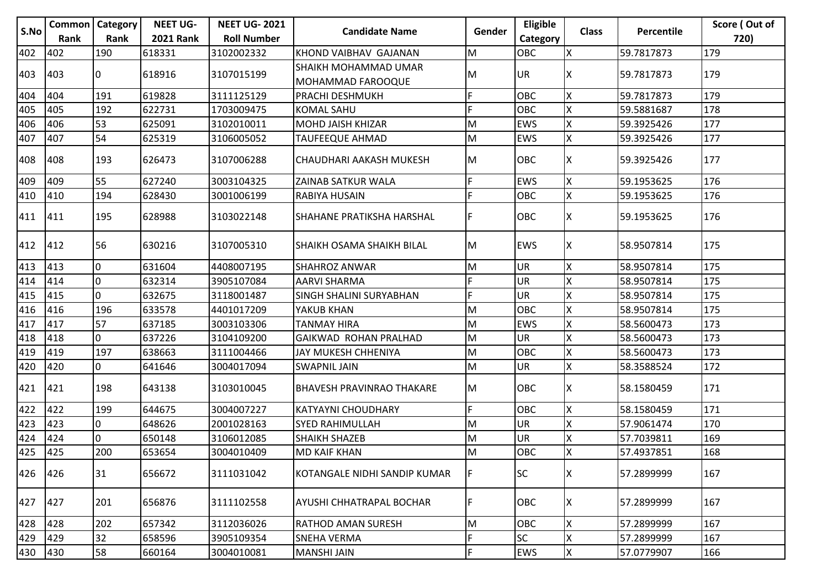|      | <b>Common</b>   Category |      | <b>NEET UG-</b>  | <b>NEET UG-2021</b> |                                  |           | Eligible   |              |            | Score (Out of |
|------|--------------------------|------|------------------|---------------------|----------------------------------|-----------|------------|--------------|------------|---------------|
| S.No | Rank                     | Rank | <b>2021 Rank</b> | <b>Roll Number</b>  | <b>Candidate Name</b>            | Gender    | Category   | <b>Class</b> | Percentile | 720)          |
| 402  | 402                      | 190  | 618331           | 3102002332          | KHOND VAIBHAV GAJANAN            | M         | <b>OBC</b> | x            | 59.7817873 | 179           |
| 403  | 403                      |      | 618916           | 3107015199          | SHAIKH MOHAMMAD UMAR             | M         | IUR.       |              | 59.7817873 | 179           |
|      |                          | 10   |                  |                     | MOHAMMAD FAROOQUE                |           |            |              |            |               |
| 404  | 404                      | 191  | 619828           | 3111125129          | PRACHI DESHMUKH                  | F         | OBC        | X            | 59.7817873 | 179           |
| 405  | 405                      | 192  | 622731           | 1703009475          | <b>KOMAL SAHU</b>                | F         | Іовс       | X            | 59.5881687 | 178           |
| 406  | 406                      | 53   | 625091           | 3102010011          | MOHD JAISH KHIZAR                | М         | <b>EWS</b> | Χ            | 59.3925426 | 177           |
| 407  | 407                      | 54   | 625319           | 3106005052          | <b>TAUFEEQUE AHMAD</b>           | M         | <b>EWS</b> | X            | 59.3925426 | 177           |
| 408  | 408                      | 193  | 626473           | 3107006288          | CHAUDHARI AAKASH MUKESH          | M         | <b>OBC</b> | ΙX           | 59.3925426 | 177           |
| 409  | 409                      | 55   | 627240           | 3003104325          | ZAINAB SATKUR WALA               | F         | <b>EWS</b> | X            | 59.1953625 | 176           |
| 410  | 410                      | 194  | 628430           | 3001006199          | RABIYA HUSAIN                    | F         | OBC        | X            | 59.1953625 | 176           |
| 411  | 411                      | 195  | 628988           | 3103022148          | SHAHANE PRATIKSHA HARSHAL        | F         | <b>OBC</b> | ΙX           | 59.1953625 | 176           |
| 412  | 412                      | 56   | 630216           | 3107005310          | SHAIKH OSAMA SHAIKH BILAL        | M         | <b>EWS</b> | х            | 58.9507814 | 175           |
| 413  | 413                      | 0    | 631604           | 4408007195          | <b>SHAHROZ ANWAR</b>             | M         | <b>UR</b>  | x            | 58.9507814 | 175           |
| 414  | 414                      | l0   | 632314           | 3905107084          | <b>AARVI SHARMA</b>              | F         | <b>UR</b>  |              | 58.9507814 | 175           |
| 415  | 415                      | IO.  | 632675           | 3118001487          | SINGH SHALINI SURYABHAN          | F         | <b>UR</b>  | X            | 58.9507814 | 175           |
| 416  | 416                      | 196  | 633578           | 4401017209          | YAKUB KHAN                       | M         | OBC        | Х            | 58.9507814 | 175           |
| 417  | 417                      | 57   | 637185           | 3003103306          | <b>TANMAY HIRA</b>               | M         | <b>EWS</b> | Х            | 58.5600473 | 173           |
| 418  | 418                      | 0    | 637226           | 3104109200          | GAIKWAD ROHAN PRALHAD            | M         | <b>UR</b>  | x            | 58.5600473 | 173           |
| 419  | 419                      | 197  | 638663           | 3111004466          | JAY MUKESH CHHENIYA              | M         | <b>OBC</b> | х            | 58.5600473 | 173           |
| 420  | 420                      | 0    | 641646           | 3004017094          | <b>SWAPNIL JAIN</b>              | M         | <b>UR</b>  | X            | 58.3588524 | 172           |
| 421  | 421                      | 198  | 643138           | 3103010045          | <b>BHAVESH PRAVINRAO THAKARE</b> | M         | <b>OBC</b> | ΙX           | 58.1580459 | 171           |
| 422  | 422                      | 199  | 644675           | 3004007227          | KATYAYNI CHOUDHARY               | F.        | <b>OBC</b> | X            | 58.1580459 | 171           |
| 423  | 423                      | 10   | 648626           | 2001028163          | <b>SYED RAHIMULLAH</b>           | M         | <b>UR</b>  | Χ            | 57.9061474 | 170           |
| 424  | 424                      | l0   | 650148           | 3106012085          | <b>SHAIKH SHAZEB</b>             | M         | UR         |              | 57.7039811 | 169           |
| 425  | 425                      | 200  | 653654           | 3004010409          | <b>MD KAIF KHAN</b>              | M         | <b>OBC</b> | Ιx           | 57.4937851 | 168           |
| 426  | 426                      | 31   | 656672           | 3111031042          | KOTANGALE NIDHI SANDIP KUMAR     | F         | <b>SC</b>  | x            | 57.2899999 | 167           |
| 427  | 427                      | 201  | 656876           | 3111102558          | AYUSHI CHHATRAPAL BOCHAR         | F         | <b>OBC</b> | ΙX           | 57.2899999 | 167           |
| 428  | 428                      | 202  | 657342           | 3112036026          | RATHOD AMAN SURESH               | ${\sf M}$ | <b>OBC</b> | X            | 57.2899999 | 167           |
| 429  | 429                      | 32   | 658596           | 3905109354          | <b>SNEHA VERMA</b>               |           | <b>SC</b>  |              | 57.2899999 | 167           |
| 430  | 430                      | 58   | 660164           | 3004010081          | <b>MANSHI JAIN</b>               | F         | <b>EWS</b> | X            | 57.0779907 | 166           |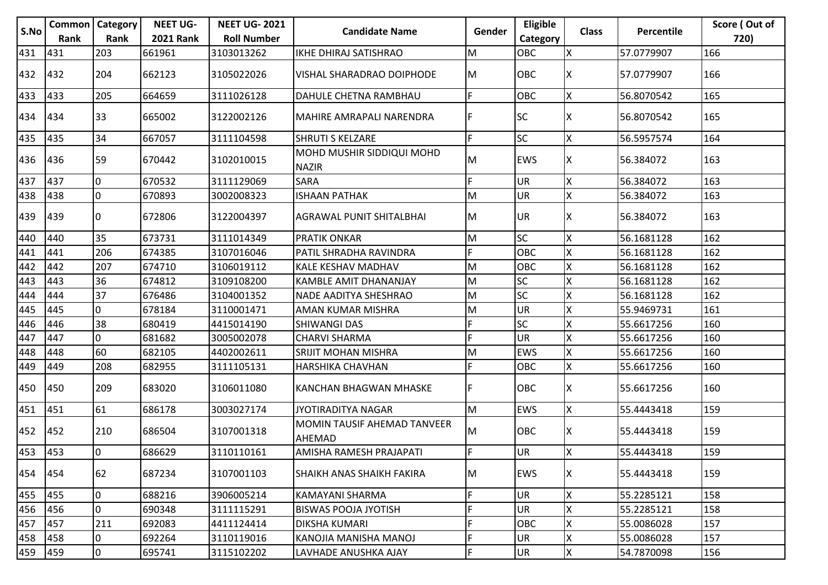|      |      | <b>Common   Category</b> | <b>NEET UG-</b>  | <b>NEET UG-2021</b> |                                              |        | Eligible   |              |            | Score (Out of |
|------|------|--------------------------|------------------|---------------------|----------------------------------------------|--------|------------|--------------|------------|---------------|
| S.No | Rank | Rank                     | <b>2021 Rank</b> | <b>Roll Number</b>  | <b>Candidate Name</b>                        | Gender | Category   | <b>Class</b> | Percentile | 720)          |
| 431  | 431  | 203                      | 661961           | 3103013262          | IKHE DHIRAJ SATISHRAO                        | M      | OBC        | X            | 57.0779907 | 166           |
| 432  | 1432 | 204                      | 662123           | 3105022026          | VISHAL SHARADRAO DOIPHODE                    | lм     | <b>OBC</b> | X            | 57.0779907 | 166           |
| 433  | 433  | 205                      | 664659           | 3111026128          | DAHULE CHETNA RAMBHAU                        | F.     | OBC        | X            | 56.8070542 | 165           |
| 434  | 434  | 33                       | 665002           | 3122002126          | MAHIRE AMRAPALI NARENDRA                     | F      | <b>SC</b>  | ΙX           | 56.8070542 | 165           |
| 435  | 435  | 34                       | 667057           | 3111104598          | <b>SHRUTI S KELZARE</b>                      | F      | <b>SC</b>  | X            | 56.5957574 | 164           |
| 436  | 436  | 59                       | 670442           | 3102010015          | MOHD MUSHIR SIDDIQUI MOHD<br><b>NAZIR</b>    | M      | <b>EWS</b> | ΙX           | 56.384072  | 163           |
| 437  | 437  | 0                        | 670532           | 3111129069          | SARA                                         | F      | <b>UR</b>  | X            | 56.384072  | 163           |
| 438  | 438  | l0                       | 670893           | 3002008323          | <b>ISHAAN PATHAK</b>                         | M      | <b>UR</b>  | X            | 56.384072  | 163           |
| 439  | 439  | 10                       | 672806           | 3122004397          | <b>AGRAWAL PUNIT SHITALBHAI</b>              | M      | <b>UR</b>  | X            | 56.384072  | 163           |
| 440  | 440  | 35                       | 673731           | 3111014349          | <b>PRATIK ONKAR</b>                          | M      | <b>SC</b>  |              | 56.1681128 | 162           |
| 441  | 441  | 206                      | 674385           | 3107016046          | PATIL SHRADHA RAVINDRA                       | F      | OBC        | X            | 56.1681128 | 162           |
| 442  | 442  | 207                      | 674710           | 3106019112          | KALE KESHAV MADHAV                           | M      | OBC        | X            | 56.1681128 | 162           |
| 443  | 443  | 36                       | 674812           | 3109108200          | <b>KAMBLE AMIT DHANANJAY</b>                 | M      | <b>SC</b>  | X            | 56.1681128 | 162           |
| 444  | 444  | 37                       | 676486           | 3104001352          | <b>NADE AADITYA SHESHRAO</b>                 | M      | <b>SC</b>  | ΙX           | 56.1681128 | 162           |
| 445  | 445  | l0                       | 678184           | 3110001471          | <b>AMAN KUMAR MISHRA</b>                     | M      | <b>UR</b>  |              | 55.9469731 | 161           |
| 446  | 446  | 38                       | 680419           | 4415014190          | SHIWANGI DAS                                 | F      | <b>SC</b>  |              | 55.6617256 | 160           |
| 447  | 447  | 0                        | 681682           | 3005002078          | <b>CHARVI SHARMA</b>                         | F      | <b>UR</b>  |              | 55.6617256 | 160           |
| 448  | 448  | 60                       | 682105           | 4402002611          | SRIJIT MOHAN MISHRA                          | M      | <b>EWS</b> | X            | 55.6617256 | 160           |
| 449  | 449  | 208                      | 682955           | 3111105131          | HARSHIKA CHAVHAN                             | F      | OBC        | X            | 55.6617256 | 160           |
| 450  | 450  | 209                      | 683020           | 3106011080          | KANCHAN BHAGWAN MHASKE                       | F      | OBC        | ΙX           | 55.6617256 | 160           |
| 451  | 451  | 61                       | 686178           | 3003027174          | <b>JYOTIRADITYA NAGAR</b>                    | M      | <b>EWS</b> | X            | 55.4443418 | 159           |
| 452  | 452  | 210                      | 686504           | 3107001318          | MOMIN TAUSIF AHEMAD TANVEER<br><b>AHEMAD</b> | M      | <b>OBC</b> | ΙX           | 55.4443418 | 159           |
| 453  | 453  | l0                       | 686629           | 3110110161          | AMISHA RAMESH PRAJAPATI                      | F      | <b>UR</b>  | Ιx           | 55.4443418 | 159           |
| 454  | 454  | 62                       | 687234           | 3107001103          | <b>SHAIKH ANAS SHAIKH FAKIRA</b>             | M      | <b>EWS</b> | X            | 55.4443418 | 159           |
| 455  | 455  | 0                        | 688216           | 3906005214          | KAMAYANI SHARMA                              | F      | UR         | ΙX           | 55.2285121 | 158           |
| 456  | 456  | 0                        | 690348           | 3111115291          | <b>BISWAS POOJA JYOTISH</b>                  | F      | UR         |              | 55.2285121 | 158           |
| 457  | 457  | 211                      | 692083           | 4411124414          | DIKSHA KUMARI                                | F      | OBC        | Χ            | 55.0086028 | 157           |
| 458  | 458  | 0                        | 692264           | 3110119016          | KANOJIA MANISHA MANOJ                        | F      | UR         | X            | 55.0086028 | 157           |
| 459  | 459  | 0                        | 695741           | 3115102202          | LAVHADE ANUSHKA AJAY                         | F      | <b>UR</b>  | Iх           | 54.7870098 | 156           |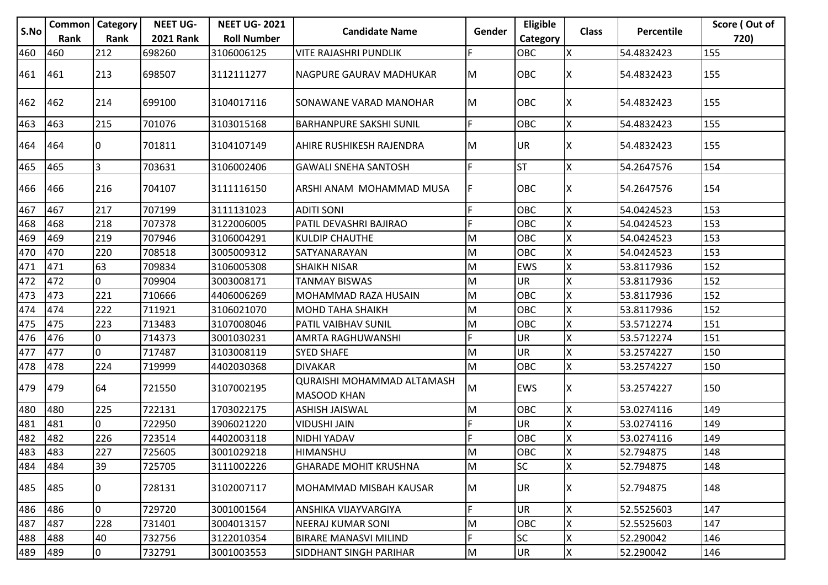|      | <b>Common   Category</b> |                | <b>NEET UG-</b>  | <b>NEET UG-2021</b> |                                                         |           | Eligible   |              |            | Score (Out of |
|------|--------------------------|----------------|------------------|---------------------|---------------------------------------------------------|-----------|------------|--------------|------------|---------------|
| S.No | Rank                     | Rank           | <b>2021 Rank</b> | <b>Roll Number</b>  | <b>Candidate Name</b>                                   | Gender    | Category   | <b>Class</b> | Percentile | 720)          |
| 460  | 460                      | 212            | 698260           | 3106006125          | <b>VITE RAJASHRI PUNDLIK</b>                            | F         | OBC        | X            | 54.4832423 | 155           |
| 461  | 461                      | 213            | 698507           | 3112111277          | NAGPURE GAURAV MADHUKAR                                 | IM.       | <b>OBC</b> | ΙX           | 54.4832423 | 155           |
| 462  | 462                      | 214            | 699100           | 3104017116          | SONAWANE VARAD MANOHAR                                  | M         | <b>OBC</b> | X            | 54.4832423 | 155           |
| 463  | 463                      | 215            | 701076           | 3103015168          | <b>BARHANPURE SAKSHI SUNIL</b>                          | F         | OBC        | X            | 54.4832423 | 155           |
| 464  | 464                      | 10             | 701811           | 3104107149          | <b>AHIRE RUSHIKESH RAJENDRA</b>                         | M         | <b>UR</b>  | ΙX           | 54.4832423 | 155           |
| 465  | 465                      | $\overline{3}$ | 703631           | 3106002406          | <b>GAWALI SNEHA SANTOSH</b>                             | F.        | <b>ST</b>  | X            | 54.2647576 | 154           |
| 466  | 466                      | 216            | 704107           | 3111116150          | ARSHI ANAM MOHAMMAD MUSA                                | F         | OBC        | ΙX           | 54.2647576 | 154           |
| 467  | 467                      | 217            | 707199           | 3111131023          | <b>ADITI SONI</b>                                       | F         | <b>OBC</b> | X            | 54.0424523 | 153           |
| 468  | 468                      | 218            | 707378           | 3122006005          | PATIL DEVASHRI BAJIRAO                                  | F         | OBC        | x            | 54.0424523 | 153           |
| 469  | 469                      | 219            | 707946           | 3106004291          | <b>KULDIP CHAUTHE</b>                                   | M         | <b>OBC</b> | X            | 54.0424523 | 153           |
| 470  | 470                      | 220            | 708518           | 3005009312          | SATYANARAYAN                                            | M         | OBC        | X            | 54.0424523 | 153           |
| 471  | 471                      | 63             | 709834           | 3106005308          | <b>SHAIKH NISAR</b>                                     | M         | EWS        | X            | 53.8117936 | 152           |
| 472  | 472                      | l0             | 709904           | 3003008171          | <b>TANMAY BISWAS</b>                                    | M         | <b>UR</b>  | ΙX           | 53.8117936 | 152           |
| 473  | 473                      | 221            | 710666           | 4406006269          | MOHAMMAD RAZA HUSAIN                                    | M         | OBC        | ΙX           | 53.8117936 | 152           |
| 474  | 474                      | 222            | 711921           | 3106021070          | <b>MOHD TAHA SHAIKH</b>                                 | M         | OBC        |              | 53.8117936 | 152           |
| 475  | 475                      | 223            | 713483           | 3107008046          | PATIL VAIBHAV SUNIL                                     | M         | OBC        | Χ            | 53.5712274 | 151           |
| 476  | 476                      | 0              | 714373           | 3001030231          | AMRTA RAGHUWANSHI                                       | F         | UR         |              | 53.5712274 | 151           |
| 477  | 477                      | l0             | 717487           | 3103008119          | <b>SYED SHAFE</b>                                       | M         | UR         |              | 53.2574227 | 150           |
| 478  | 478                      | 224            | 719999           | 4402030368          | <b>DIVAKAR</b>                                          | M         | OBC        | X            | 53.2574227 | 150           |
| 479  | 479                      | 64             | 721550           | 3107002195          | <b>QURAISHI MOHAMMAD ALTAMASH</b><br><b>MASOOD KHAN</b> | M         | <b>EWS</b> | X            | 53.2574227 | 150           |
| 480  | 480                      | 225            | 722131           | 1703022175          | <b>ASHISH JAISWAL</b>                                   | M         | <b>OBC</b> | X            | 53.0274116 | 149           |
| 481  | 481                      | 10             | 722950           | 3906021220          | <b>VIDUSHI JAIN</b>                                     | F         | UR         | X            | 53.0274116 | 149           |
| 482  | 482                      | 226            | 723514           | 4402003118          | NIDHI YADAV                                             | F         | OBC        | ۱x           | 53.0274116 | 149           |
| 483  | 483                      | 227            | 725605           | 3001029218          | HIMANSHU                                                | M         | OBC        | Iх           | 52.794875  | 148           |
| 484  | 484                      | 39             | 725705           | 3111002226          | <b>GHARADE MOHIT KRUSHNA</b>                            | M         | <b>SC</b>  | X            | 52.794875  | 148           |
| 485  | 485                      | 10             | 728131           | 3102007117          | MOHAMMAD MISBAH KAUSAR                                  | M         | UR         | ΙX           | 52.794875  | 148           |
| 486  | 486                      | I٥             | 729720           | 3001001564          | ANSHIKA VIJAYVARGIYA                                    | F.        | UR         | X            | 52.5525603 | 147           |
| 487  | 487                      | 228            | 731401           | 3004013157          | NEERAJ KUMAR SONI                                       | ${\sf M}$ | OBC        | Χ            | 52.5525603 | 147           |
| 488  | 488                      | 40             | 732756           | 3122010354          | <b>BIRARE MANASVI MILIND</b>                            | F.        | <b>SC</b>  | X            | 52.290042  | 146           |
| 489  | 489                      | $ 0\rangle$    | 732791           | 3001003553          | SIDDHANT SINGH PARIHAR                                  | M         | <b>UR</b>  | Χ            | 52.290042  | 146           |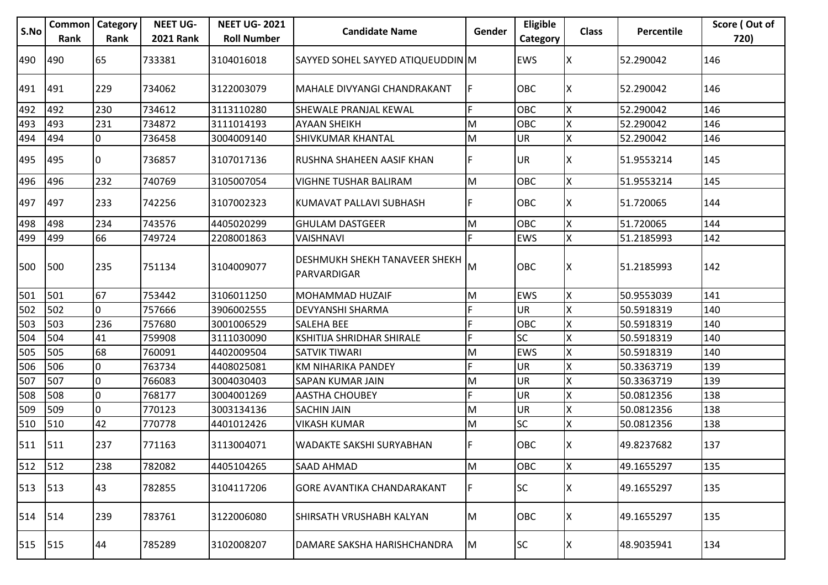| S.No    | Common<br>Rank | Category<br>Rank | <b>NEET UG-</b><br><b>2021 Rank</b> | <b>NEET UG-2021</b><br><b>Roll Number</b> | <b>Candidate Name</b>                        | Gender   | Eligible<br>Category | <b>Class</b> | Percentile | Score (Out of<br>720) |
|---------|----------------|------------------|-------------------------------------|-------------------------------------------|----------------------------------------------|----------|----------------------|--------------|------------|-----------------------|
| 490     | 490            | 65               | 733381                              | 3104016018                                | SAYYED SOHEL SAYYED ATIQUEUDDIN M            |          | <b>EWS</b>           | ΙX           | 52.290042  | 146                   |
| 491     | 491            | 229              | 734062                              | 3122003079                                | MAHALE DIVYANGI CHANDRAKANT                  | IF.      | <b>OBC</b>           | x            | 52.290042  | 146                   |
| 492     | 492            | 230              | 734612                              | 3113110280                                | SHEWALE PRANJAL KEWAL                        | F        | OBC                  | X            | 52.290042  | 146                   |
| 493     | 493            | 231              | 734872                              | 3111014193                                | <b>AYAAN SHEIKH</b>                          | lм       | OBC                  | Χ            | 52.290042  | 146                   |
| 494     | 494            | l0               | 736458                              | 3004009140                                | <b>SHIVKUMAR KHANTAL</b>                     | M        | <b>UR</b>            | X            | 52.290042  | 146                   |
| 495     | 495            | 0                | 736857                              | 3107017136                                | RUSHNA SHAHEEN AASIF KHAN                    | F        | UR.                  |              | 51.9553214 | 145                   |
| 496     | 496            | 232              | 740769                              | 3105007054                                | VIGHNE TUSHAR BALIRAM                        | lм       | OBC                  | X            | 51.9553214 | 145                   |
| 497     | 497            | 233              | 742256                              | 3107002323                                | KUMAVAT PALLAVI SUBHASH                      | F        | <b>OBC</b>           | x            | 51.720065  | 144                   |
| 498     | 498            | 234              | 743576                              | 4405020299                                | <b>GHULAM DASTGEER</b>                       | M        | <b>OBC</b>           | X            | 51.720065  | 144                   |
| 499     | 499            | 66               | 749724                              | 2208001863                                | <b>VAISHNAVI</b>                             | F.       | <b>EWS</b>           | X            | 51.2185993 | 142                   |
| 500     | 500            | 235              | 751134                              | 3104009077                                | DESHMUKH SHEKH TANAVEER SHEKH<br>PARVARDIGAR | Iм       | <b>OBC</b>           | ΙX           | 51.2185993 | 142                   |
| 501     | 501            | 67               | 753442                              | 3106011250                                | MOHAMMAD HUZAIF                              | M        | <b>EWS</b>           | X            | 50.9553039 | 141                   |
| 502     | 502            | l0               | 757666                              | 3906002555                                | DEVYANSHI SHARMA                             | I۴       | UR.                  | X            | 50.5918319 | 140                   |
| 503     | 503            | 236              | 757680                              | 3001006529                                | SALEHA BEE                                   | E        | OBC                  | X            | 50.5918319 | 140                   |
| 504     | 504            | 41               | 759908                              | 3111030090                                | KSHITIJA SHRIDHAR SHIRALE                    | F        | <b>SC</b>            |              | 50.5918319 | 140                   |
| 505     | 505            | 68               | 760091                              | 4402009504                                | SATVIK TIWARI                                | M        | <b>EWS</b>           |              | 50.5918319 | 140                   |
| 506     | 506            | l0               | 763734                              | 4408025081                                | KM NIHARIKA PANDEY                           | F        | <b>UR</b>            |              | 50.3363719 | 139                   |
| 507     | 507            | 0                | 766083                              | 3004030403                                | SAPAN KUMAR JAIN                             | M        | <b>UR</b>            |              | 50.3363719 | 139                   |
| 508     | 508            | l0               | 768177                              | 3004001269                                | <b>AASTHA CHOUBEY</b>                        | F.       | UR                   | X            | 50.0812356 | 138                   |
| 509     | 509            | l0               | 770123                              | 3003134136                                | <b>SACHIN JAIN</b>                           | M        | UR                   | X            | 50.0812356 | 138                   |
| 510     | 510            | 42               | 770778                              | 4401012426                                | <b>VIKASH KUMAR</b>                          | IМ       | <b>SC</b>            | Χ            | 50.0812356 | 138                   |
| 511     | 511            | 237              | 771163                              | 3113004071                                | <b>WADAKTE SAKSHI SURYABHAN</b>              | IF.      | <b>OBC</b>           |              | 49.8237682 | 137                   |
| 512     | 512            | 238              | 782082                              | 4405104265                                | <b>SAAD AHMAD</b>                            | M        | OBC                  | X            | 49.1655297 | 135                   |
| 513     | 513            | 43               | 782855                              | 3104117206                                | GORE AVANTIKA CHANDARAKANT                   | IF.      | <b>SC</b>            |              | 49.1655297 | 135                   |
| 514 514 |                | 239              | 783761                              | 3122006080                                | İSHIRSATH VRUSHABH KALYAN                    | M        | <b>OBC</b>           | X            | 49.1655297 | 135                   |
| 515     | 515            | 44               | 785289                              | 3102008207                                | DAMARE SAKSHA HARISHCHANDRA                  | <b>M</b> | <b>SC</b>            | X            | 48.9035941 | 134                   |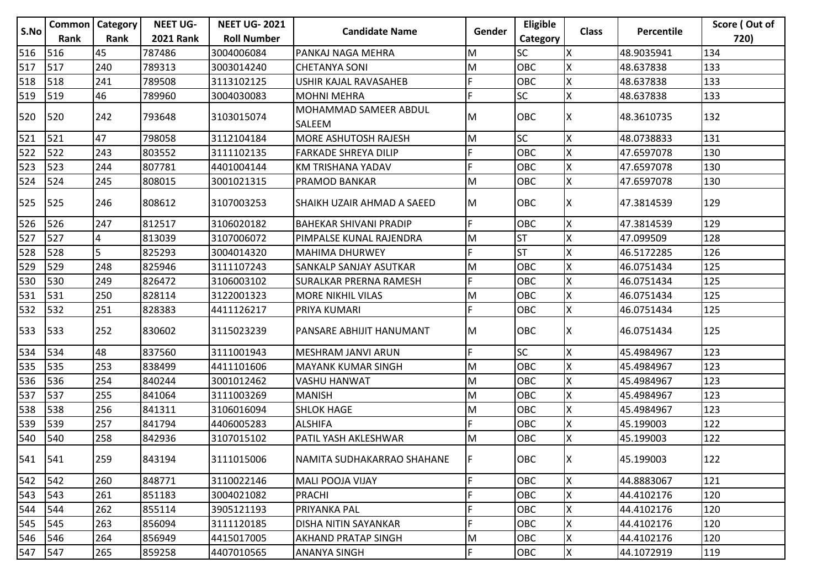|      | <b>Common   Category</b> |      | <b>NEET UG-</b>  | <b>NEET UG-2021</b> |                                        |        | Eligible   |              |                   | Score (Out of |
|------|--------------------------|------|------------------|---------------------|----------------------------------------|--------|------------|--------------|-------------------|---------------|
| S.No | Rank                     | Rank | <b>2021 Rank</b> | <b>Roll Number</b>  | <b>Candidate Name</b>                  | Gender | Category   | <b>Class</b> | <b>Percentile</b> | 720)          |
| 516  | 516                      | 45   | 787486           | 3004006084          | PANKAJ NAGA MEHRA                      | M      | <b>SC</b>  | X            | 48.9035941        | 134           |
| 517  | 517                      | 240  | 789313           | 3003014240          | <b>CHETANYA SONI</b>                   | M      | <b>OBC</b> | X            | 48.637838         | 133           |
| 518  | 518                      | 241  | 789508           | 3113102125          | USHIR KAJAL RAVASAHEB                  | F      | OBC        | Χ            | 48.637838         | 133           |
| 519  | 519                      | 46   | 789960           | 3004030083          | <b>MOHNI MEHRA</b>                     | F      | <b>SC</b>  | X            | 48.637838         | 133           |
| 520  | 520                      | 242  | 793648           | 3103015074          | MOHAMMAD SAMEER ABDUL<br><b>SALEEM</b> | M      | OBC        | x            | 48.3610735        | 132           |
| 521  | 521                      | 47   | 798058           | 3112104184          | <b>MORE ASHUTOSH RAJESH</b>            | M      | <b>SC</b>  | X            | 48.0738833        | 131           |
| 522  | 522                      | 243  | 803552           | 3111102135          | <b>FARKADE SHREYA DILIP</b>            | F      | OBC        | Χ            | 47.6597078        | 130           |
| 523  | 523                      | 244  | 807781           | 4401004144          | KM TRISHANA YADAV                      | F      | OBC        | Χ            | 47.6597078        | 130           |
| 524  | 524                      | 245  | 808015           | 3001021315          | PRAMOD BANKAR                          | M      | OBC        | Χ            | 47.6597078        | 130           |
| 525  | 525                      | 246  | 808612           | 3107003253          | SHAIKH UZAIR AHMAD A SAEED             | M      | <b>OBC</b> | X            | 47.3814539        | 129           |
| 526  | 526                      | 247  | 812517           | 3106020182          | <b>BAHEKAR SHIVANI PRADIP</b>          | F      | OBC        | Χ            | 47.3814539        | 129           |
| 527  | 527                      | 4    | 813039           | 3107006072          | PIMPALSE KUNAL RAJENDRA                | M      | <b>ST</b>  | X            | 47.099509         | 128           |
| 528  | 528                      | 5    | 825293           | 3004014320          | <b>MAHIMA DHURWEY</b>                  | F      | <b>ST</b>  | Χ            | 46.5172285        | 126           |
| 529  | 529                      | 248  | 825946           | 3111107243          | SANKALP SANJAY ASUTKAR                 | M      | OBC        | Χ            | 46.0751434        | 125           |
| 530  | 530                      | 249  | 826472           | 3106003102          | SURALKAR PRERNA RAMESH                 | F      | OBC        | Χ            | 46.0751434        | 125           |
| 531  | 531                      | 250  | 828114           | 3122001323          | <b>MORE NIKHIL VILAS</b>               | M      | OBC        | Χ            | 46.0751434        | 125           |
| 532  | 532                      | 251  | 828383           | 4411126217          | PRIYA KUMARI                           | F.     | OBC        | X            | 46.0751434        | 125           |
| 533  | 533                      | 252  | 830602           | 3115023239          | PANSARE ABHIJIT HANUMANT               | M      | <b>OBC</b> | х            | 46.0751434        | 125           |
| 534  | 534                      | 48   | 837560           | 3111001943          | MESHRAM JANVI ARUN                     | F      | SC         | Χ            | 45.4984967        | 123           |
| 535  | 535                      | 253  | 838499           | 4411101606          | <b>MAYANK KUMAR SINGH</b>              | M      | <b>OBC</b> | Χ            | 45.4984967        | 123           |
| 536  | 536                      | 254  | 840244           | 3001012462          | VASHU HANWAT                           | M      | OBC        | lχ           | 45.4984967        | 123           |
| 537  | 537                      | 255  | 841064           | 3111003269          | <b>MANISH</b>                          | M      | OBC        | X            | 45.4984967        | 123           |
| 538  | 538                      | 256  | 841311           | 3106016094          | <b>SHLOK HAGE</b>                      | M      | OBC        | X            | 45.4984967        | 123           |
| 539  | 539                      | 257  | 841794           | 4406005283          | <b>ALSHIFA</b>                         | F      | OBC        | X            | 45.199003         | 122           |
| 540  | 540                      | 258  | 842936           | 3107015102          | PATIL YASH AKLESHWAR                   | M      | OBC        | Χ            | 45.199003         | 122           |
| 541  | 541                      | 259  | 843194           | 3111015006          | NAMITA SUDHAKARRAO SHAHANE             | IF     | <b>OBC</b> | ΙX           | 45.199003         | 122           |
| 542  | 542                      | 260  | 848771           | 3110022146          | <b>MALI POOJA VIJAY</b>                | F      | OBC        | Χ            | 44.8883067        | 121           |
| 543  | 543                      | 261  | 851183           | 3004021082          | PRACHI                                 | F      | OBC        | Χ            | 44.4102176        | 120           |
| 544  | 544                      | 262  | 855114           | 3905121193          | PRIYANKA PAL                           | F      | OBC        | X            | 44.4102176        | 120           |
| 545  | 545                      | 263  | 856094           | 3111120185          | DISHA NITIN SAYANKAR                   | F      | OBC        | Χ            | 44.4102176        | 120           |
| 546  | 546                      | 264  | 856949           | 4415017005          | <b>AKHAND PRATAP SINGH</b>             | M      | OBC        | Χ            | 44.4102176        | 120           |
| 547  | 547                      | 265  | 859258           | 4407010565          | ANANYA SINGH                           | F      | OBC        | X            | 44.1072919        | 119           |